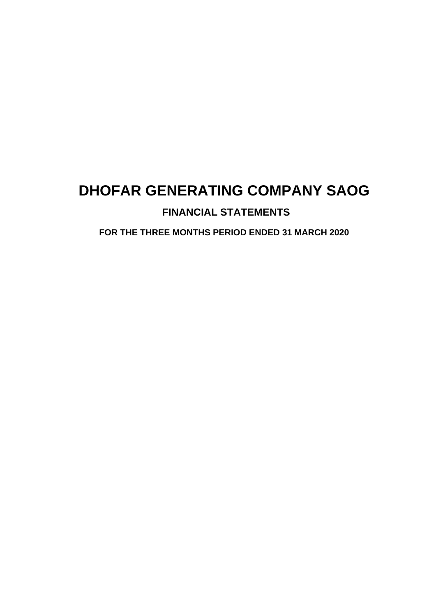# **FINANCIAL STATEMENTS**

**FOR THE THREE MONTHS PERIOD ENDED 31 MARCH 2020**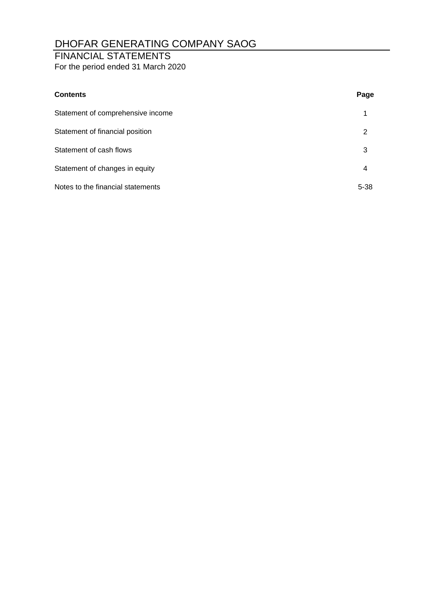# FINANCIAL STATEMENTS

For the period ended 31 March 2020

| <b>Contents</b>                   | Page     |
|-----------------------------------|----------|
| Statement of comprehensive income | 1        |
| Statement of financial position   | 2        |
| Statement of cash flows           | 3        |
| Statement of changes in equity    | 4        |
| Notes to the financial statements | $5 - 38$ |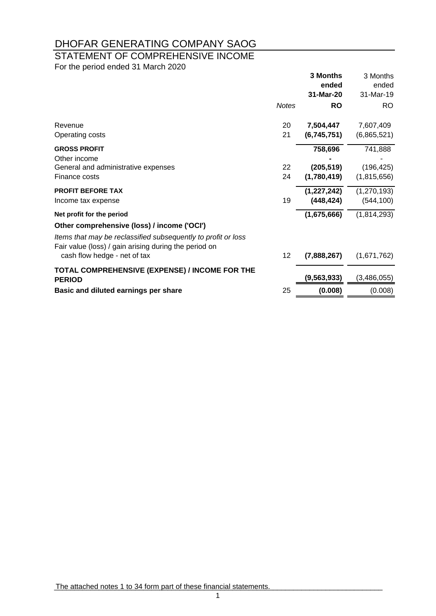# STATEMENT OF COMPREHENSIVE INCOME

For the period ended 31 March 2020

|                                                                                       |              | 3 Months<br>ended<br>31-Mar-20 | 3 Months<br>ended<br>31-Mar-19 |
|---------------------------------------------------------------------------------------|--------------|--------------------------------|--------------------------------|
|                                                                                       | <b>Notes</b> | <b>RO</b>                      | RO.                            |
| Revenue                                                                               | 20           | 7,504,447                      | 7,607,409                      |
| Operating costs                                                                       | 21           | (6,745,751)                    | (6,865,521)                    |
| <b>GROSS PROFIT</b>                                                                   |              | 758,696                        | 741,888                        |
| Other income                                                                          |              |                                |                                |
| General and administrative expenses                                                   | 22           | (205, 519)                     | (196, 425)                     |
| Finance costs                                                                         | 24           | (1,780,419)                    | (1,815,656)                    |
| <b>PROFIT BEFORE TAX</b>                                                              |              | (1,227,242)                    | (1, 270, 193)                  |
| Income tax expense                                                                    | 19           | (448, 424)                     | (544, 100)                     |
| Net profit for the period                                                             |              | (1,675,666)                    | (1,814,293)                    |
| Other comprehensive (loss) / income ('OCI')                                           |              |                                |                                |
| Items that may be reclassified subsequently to profit or loss                         |              |                                |                                |
| Fair value (loss) / gain arising during the period on<br>cash flow hedge - net of tax | 12           | (7,888,267)                    | (1,671,762)                    |
| TOTAL COMPREHENSIVE (EXPENSE) / INCOME FOR THE                                        |              |                                |                                |
| <b>PERIOD</b>                                                                         |              | (9, 563, 933)                  | (3,486,055)                    |
| Basic and diluted earnings per share                                                  | 25           | (0.008)                        | (0.008)                        |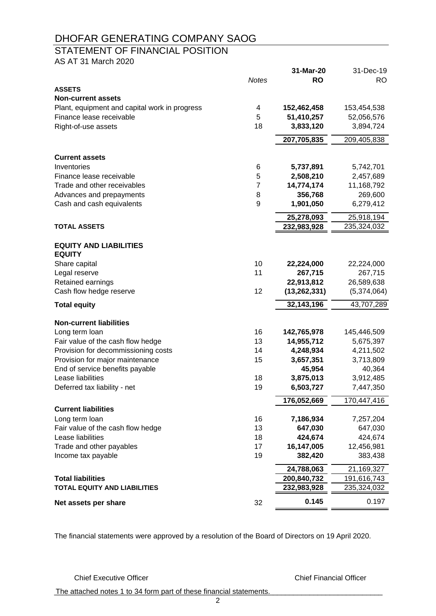# STATEMENT OF FINANCIAL POSITION

AS AT 31 March 2020

|                                               |                | 31-Mar-20      | 31-Dec-19   |
|-----------------------------------------------|----------------|----------------|-------------|
|                                               | <b>Notes</b>   | <b>RO</b>      | RO.         |
| <b>ASSETS</b>                                 |                |                |             |
| <b>Non-current assets</b>                     |                |                |             |
| Plant, equipment and capital work in progress | 4              | 152,462,458    | 153,454,538 |
| Finance lease receivable                      | 5              | 51,410,257     | 52,056,576  |
| Right-of-use assets                           | 18             | 3,833,120      | 3,894,724   |
|                                               |                |                |             |
|                                               |                | 207,705,835    | 209,405,838 |
|                                               |                |                |             |
| <b>Current assets</b>                         |                |                |             |
| Inventories                                   | 6              | 5,737,891      | 5,742,701   |
| Finance lease receivable                      | 5              | 2,508,210      | 2,457,689   |
| Trade and other receivables                   | $\overline{7}$ | 14,774,174     | 11,168,792  |
| Advances and prepayments                      | 8              | 356,768        | 269,600     |
| Cash and cash equivalents                     | 9              | 1,901,050      | 6,279,412   |
|                                               |                | 25,278,093     | 25,918,194  |
| <b>TOTAL ASSETS</b>                           |                | 232,983,928    | 235,324,032 |
|                                               |                |                |             |
| <b>EQUITY AND LIABILITIES</b>                 |                |                |             |
| <b>EQUITY</b>                                 |                |                |             |
| Share capital                                 | 10             | 22,224,000     | 22,224,000  |
| Legal reserve                                 | 11             | 267,715        | 267,715     |
| Retained earnings                             |                | 22,913,812     | 26,589,638  |
|                                               | 12             |                |             |
| Cash flow hedge reserve                       |                | (13, 262, 331) | (5,374,064) |
| <b>Total equity</b>                           |                | 32,143,196     | 43,707,289  |
|                                               |                |                |             |
| <b>Non-current liabilities</b>                |                |                |             |
| Long term loan                                | 16             | 142,765,978    | 145,446,509 |
| Fair value of the cash flow hedge             | 13             | 14,955,712     | 5,675,397   |
| Provision for decommissioning costs           | 14             | 4,248,934      | 4,211,502   |
| Provision for major maintenance               | 15             | 3,657,351      | 3,713,809   |
| End of service benefits payable               |                | 45,954         | 40,364      |
| Lease liabilities                             | 18             | 3,875,013      | 3,912,485   |
| Deferred tax liability - net                  | 19             | 6,503,727      | 7,447,350   |
|                                               |                |                |             |
|                                               |                | 176,052,669    | 170,447,416 |
| <b>Current liabilities</b>                    |                |                |             |
| Long term loan                                | 16             | 7,186,934      | 7,257,204   |
| Fair value of the cash flow hedge             | 13             | 647,030        | 647,030     |
| Lease liabilities                             | 18             | 424,674        | 424,674     |
| Trade and other payables                      | 17             | 16,147,005     | 12,456,981  |
| Income tax payable                            | 19             | 382,420        | 383,438     |
|                                               |                | 24,788,063     | 21,169,327  |
| <b>Total liabilities</b>                      |                | 200,840,732    | 191,616,743 |
| <b>TOTAL EQUITY AND LIABILITIES</b>           |                | 232,983,928    | 235,324,032 |
|                                               |                |                |             |
| Net assets per share                          | 32             | 0.145          | 0.197       |

The financial statements were approved by a resolution of the Board of Directors on 19 April 2020.

Chief Executive Officer Chief Financial Officer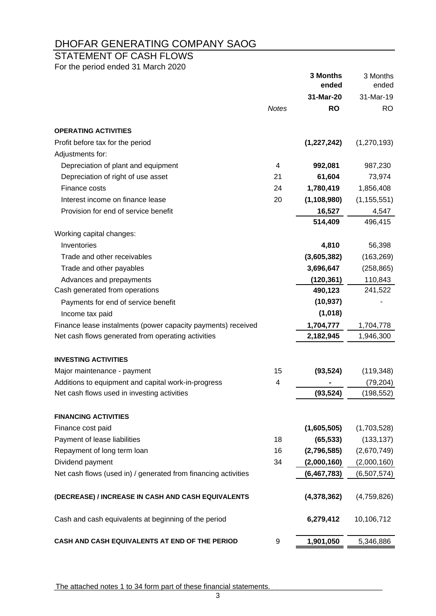# STATEMENT OF CASH FLOWS

For the period ended 31 March 2020

|                                                                |              | 3 Months<br>ended | 3 Months<br>ended |
|----------------------------------------------------------------|--------------|-------------------|-------------------|
|                                                                |              | 31-Mar-20         | 31-Mar-19         |
|                                                                | <b>Notes</b> | <b>RO</b>         | <b>RO</b>         |
|                                                                |              |                   |                   |
| <b>OPERATING ACTIVITIES</b>                                    |              |                   |                   |
| Profit before tax for the period                               |              | (1,227,242)       | (1,270,193)       |
| Adjustments for:                                               |              |                   |                   |
| Depreciation of plant and equipment                            | 4            | 992,081           | 987,230           |
| Depreciation of right of use asset                             | 21           | 61,604            | 73,974            |
| Finance costs                                                  | 24           | 1,780,419         | 1,856,408         |
| Interest income on finance lease                               | 20           | (1, 108, 980)     | (1, 155, 551)     |
| Provision for end of service benefit                           |              | 16,527            | 4,547             |
|                                                                |              | 514,409           | 496,415           |
| Working capital changes:                                       |              |                   |                   |
| Inventories                                                    |              | 4,810             | 56,398            |
| Trade and other receivables                                    |              | (3,605,382)       | (163, 269)        |
| Trade and other payables                                       |              | 3,696,647         | (258, 865)        |
| Advances and prepayments                                       |              | (120, 361)        | 110,843           |
| Cash generated from operations                                 |              | 490,123           | 241,522           |
| Payments for end of service benefit                            |              | (10, 937)         |                   |
| Income tax paid                                                |              | (1,018)           |                   |
| Finance lease instalments (power capacity payments) received   |              | 1,704,777         | 1,704,778         |
| Net cash flows generated from operating activities             |              | 2,182,945         | 1,946,300         |
|                                                                |              |                   |                   |
| <b>INVESTING ACTIVITIES</b>                                    |              |                   |                   |
| Major maintenance - payment                                    | 15           | (93, 524)         | (119, 348)        |
| Additions to equipment and capital work-in-progress            | 4            |                   | (79, 204)         |
| Net cash flows used in investing activities                    |              | (93, 524)         | (198, 552)        |
|                                                                |              |                   |                   |
| <b>FINANCING ACTIVITIES</b>                                    |              |                   |                   |
| Finance cost paid                                              |              | (1,605,505)       | (1,703,528)       |
| Payment of lease liabilities                                   | 18           | (65, 533)         | (133, 137)        |
| Repayment of long term loan                                    | 16           | (2,796,585)       | (2,670,749)       |
| Dividend payment                                               | 34           | (2,000,160)       | (2,000,160)       |
| Net cash flows (used in) / generated from financing activities |              | (6, 467, 783)     | (6,507,574)       |
|                                                                |              |                   |                   |
| (DECREASE) / INCREASE IN CASH AND CASH EQUIVALENTS             |              | (4,378,362)       | (4,759,826)       |
|                                                                |              |                   |                   |
| Cash and cash equivalents at beginning of the period           |              | 6,279,412         | 10,106,712        |
|                                                                |              |                   |                   |
| CASH AND CASH EQUIVALENTS AT END OF THE PERIOD                 | 9            | 1,901,050         | 5,346,886         |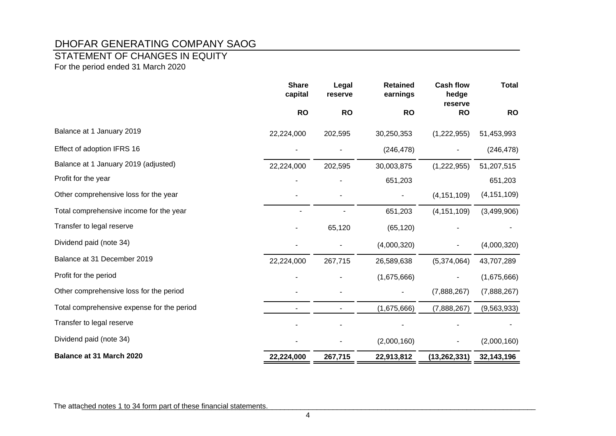# STATEMENT OF CHANGES IN EQUITY

For the period ended 31 March 2020

|                                            | <b>Share</b><br>capital | Legal<br>reserve | <b>Retained</b><br>earnings | <b>Cash flow</b><br>hedge<br>reserve | <b>Total</b>  |
|--------------------------------------------|-------------------------|------------------|-----------------------------|--------------------------------------|---------------|
|                                            | <b>RO</b>               | <b>RO</b>        | <b>RO</b>                   | <b>RO</b>                            | <b>RO</b>     |
| Balance at 1 January 2019                  | 22,224,000              | 202,595          | 30,250,353                  | (1,222,955)                          | 51,453,993    |
| Effect of adoption IFRS 16                 |                         |                  | (246, 478)                  |                                      | (246, 478)    |
| Balance at 1 January 2019 (adjusted)       | 22,224,000              | 202,595          | 30,003,875                  | (1,222,955)                          | 51,207,515    |
| Profit for the year                        |                         |                  | 651,203                     |                                      | 651,203       |
| Other comprehensive loss for the year      |                         |                  |                             | (4, 151, 109)                        | (4, 151, 109) |
| Total comprehensive income for the year    |                         |                  | 651,203                     | (4, 151, 109)                        | (3,499,906)   |
| Transfer to legal reserve                  |                         | 65,120           | (65, 120)                   |                                      |               |
| Dividend paid (note 34)                    |                         |                  | (4,000,320)                 |                                      | (4,000,320)   |
| Balance at 31 December 2019                | 22,224,000              | 267,715          | 26,589,638                  | (5,374,064)                          | 43,707,289    |
| Profit for the period                      |                         |                  | (1,675,666)                 |                                      | (1,675,666)   |
| Other comprehensive loss for the period    |                         |                  |                             | (7,888,267)                          | (7,888,267)   |
| Total comprehensive expense for the period |                         |                  | (1,675,666)                 | (7,888,267)                          | (9,563,933)   |
| Transfer to legal reserve                  |                         |                  |                             |                                      |               |
| Dividend paid (note 34)                    |                         |                  | (2,000,160)                 |                                      | (2,000,160)   |
| Balance at 31 March 2020                   | 22,224,000              | 267,715          | 22,913,812                  | (13, 262, 331)                       | 32,143,196    |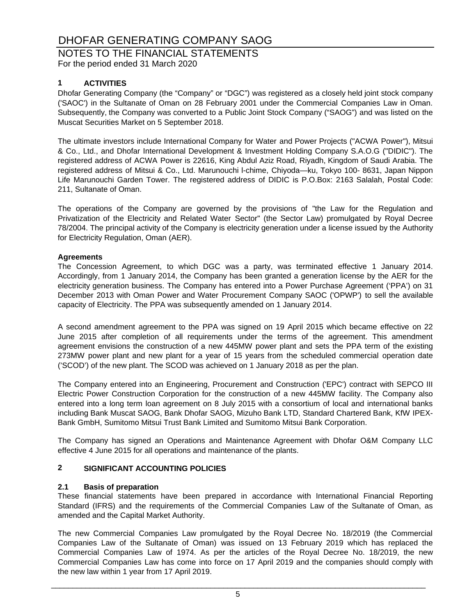# NOTES TO THE FINANCIAL STATEMENTS For the period ended 31 March 2020

# **1 ACTIVITIES**

Dhofar Generating Company (the "Company" or "DGC") was registered as a closely held joint stock company ('SAOC') in the Sultanate of Oman on 28 February 2001 under the Commercial Companies Law in Oman. Subsequently, the Company was converted to a Public Joint Stock Company ("SAOG") and was listed on the Muscat Securities Market on 5 September 2018.

The ultimate investors include International Company for Water and Power Projects ("ACWA Power"), Mitsui & Co., Ltd., and Dhofar International Development & Investment Holding Company S.A.O.G ("DIDIC"). The registered address of ACWA Power is 22616, King Abdul Aziz Road, Riyadh, Kingdom of Saudi Arabia. The registered address of Mitsui & Co., Ltd. Marunouchi l-chime, Chiyoda—ku, Tokyo 100- 8631, Japan Nippon Life Marunouchi Garden Tower. The registered address of DIDIC is P.O.Box: 2163 Salalah, Postal Code: 211, Sultanate of Oman.

The operations of the Company are governed by the provisions of "the Law for the Regulation and Privatization of the Electricity and Related Water Sector" (the Sector Law) promulgated by Royal Decree 78/2004. The principal activity of the Company is electricity generation under a license issued by the Authority for Electricity Regulation, Oman (AER).

# **Agreements**

The Concession Agreement, to which DGC was a party, was terminated effective 1 January 2014. Accordingly, from 1 January 2014, the Company has been granted a generation license by the AER for the electricity generation business. The Company has entered into a Power Purchase Agreement ('PPA') on 31 December 2013 with Oman Power and Water Procurement Company SAOC ('OPWP') to sell the available capacity of Electricity. The PPA was subsequently amended on 1 January 2014.

A second amendment agreement to the PPA was signed on 19 April 2015 which became effective on 22 June 2015 after completion of all requirements under the terms of the agreement. This amendment agreement envisions the construction of a new 445MW power plant and sets the PPA term of the existing 273MW power plant and new plant for a year of 15 years from the scheduled commercial operation date ('SCOD') of the new plant. The SCOD was achieved on 1 January 2018 as per the plan.

The Company entered into an Engineering, Procurement and Construction ('EPC') contract with SEPCO III Electric Power Construction Corporation for the construction of a new 445MW facility. The Company also entered into a long term loan agreement on 8 July 2015 with a consortium of local and international banks including Bank Muscat SAOG, Bank Dhofar SAOG, Mizuho Bank LTD, Standard Chartered Bank, KfW IPEX-Bank GmbH, Sumitomo Mitsui Trust Bank Limited and Sumitomo Mitsui Bank Corporation.

The Company has signed an Operations and Maintenance Agreement with Dhofar O&M Company LLC effective 4 June 2015 for all operations and maintenance of the plants.

# **2 SIGNIFICANT ACCOUNTING POLICIES**

# **2.1 Basis of preparation**

These financial statements have been prepared in accordance with International Financial Reporting Standard (IFRS) and the requirements of the Commercial Companies Law of the Sultanate of Oman, as amended and the Capital Market Authority.

The new Commercial Companies Law promulgated by the Royal Decree No. 18/2019 (the Commercial Companies Law of the Sultanate of Oman) was issued on 13 February 2019 which has replaced the Commercial Companies Law of 1974. As per the articles of the Royal Decree No. 18/2019, the new Commercial Companies Law has come into force on 17 April 2019 and the companies should comply with the new law within 1 year from 17 April 2019.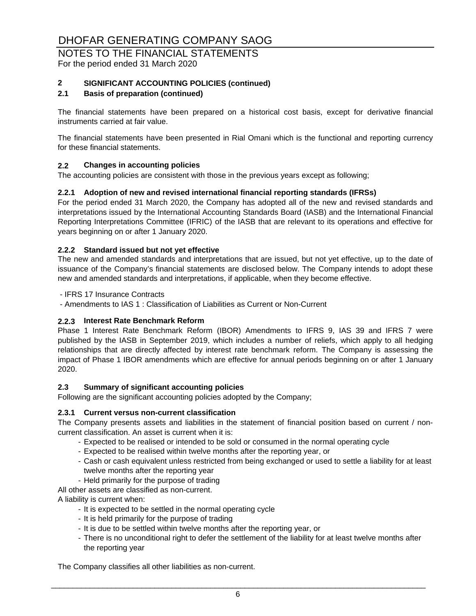# NOTES TO THE FINANCIAL STATEMENTS For the period ended 31 March 2020

# **2 SIGNIFICANT ACCOUNTING POLICIES (continued)**

# **2.1 Basis of preparation (continued)**

The financial statements have been prepared on a historical cost basis, except for derivative financial instruments carried at fair value.

The financial statements have been presented in Rial Omani which is the functional and reporting currency for these financial statements.

# **2.2 Changes in accounting policies**

The accounting policies are consistent with those in the previous years except as following;

# **2.2.1 Adoption of new and revised international financial reporting standards (IFRSs)**

For the period ended 31 March 2020, the Company has adopted all of the new and revised standards and interpretations issued by the International Accounting Standards Board (IASB) and the International Financial Reporting Interpretations Committee (IFRIC) of the IASB that are relevant to its operations and effective for years beginning on or after 1 January 2020.

# **2.2.2 Standard issued but not yet effective**

The new and amended standards and interpretations that are issued, but not yet effective, up to the date of issuance of the Company's financial statements are disclosed below. The Company intends to adopt these new and amended standards and interpretations, if applicable, when they become effective.

- IFRS 17 Insurance Contracts

- Amendments to IAS 1 : Classification of Liabilities as Current or Non-Current

# **2.2.3 Interest Rate Benchmark Reform**

Phase 1 Interest Rate Benchmark Reform (IBOR) Amendments to IFRS 9, IAS 39 and IFRS 7 were published by the IASB in September 2019, which includes a number of reliefs, which apply to all hedging relationships that are directly affected by interest rate benchmark reform. The Company is assessing the impact of Phase 1 IBOR amendments which are effective for annual periods beginning on or after 1 January 2020.

# **2.3 Summary of significant accounting policies**

Following are the significant accounting policies adopted by the Company;

# **2.3.1 Current versus non-current classification**

The Company presents assets and liabilities in the statement of financial position based on current / noncurrent classification. An asset is current when it is:

- Expected to be realised or intended to be sold or consumed in the normal operating cycle
- Expected to be realised within twelve months after the reporting year, or
- Cash or cash equivalent unless restricted from being exchanged or used to settle a liability for at least twelve months after the reporting year
- Held primarily for the purpose of trading

All other assets are classified as non-current.

A liability is current when:

- It is expected to be settled in the normal operating cycle
- It is held primarily for the purpose of trading
- It is due to be settled within twelve months after the reporting year, or
- There is no unconditional right to defer the settlement of the liability for at least twelve months after the reporting year

The Company classifies all other liabilities as non-current.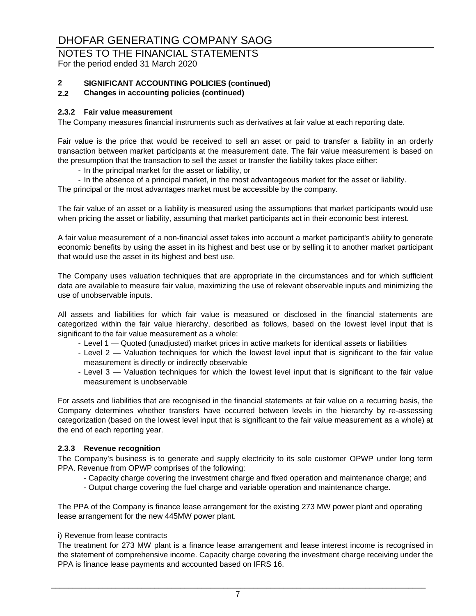# NOTES TO THE FINANCIAL STATEMENTS

For the period ended 31 March 2020

# **2 SIGNIFICANT ACCOUNTING POLICIES (continued)**

# **2.2 Changes in accounting policies (continued)**

# **2.3.2 Fair value measurement**

The Company measures financial instruments such as derivatives at fair value at each reporting date.

Fair value is the price that would be received to sell an asset or paid to transfer a liability in an orderly transaction between market participants at the measurement date. The fair value measurement is based on the presumption that the transaction to sell the asset or transfer the liability takes place either:

- In the principal market for the asset or liability, or

- In the absence of a principal market, in the most advantageous market for the asset or liability. The principal or the most advantages market must be accessible by the company.

The fair value of an asset or a liability is measured using the assumptions that market participants would use when pricing the asset or liability, assuming that market participants act in their economic best interest.

A fair value measurement of a non-financial asset takes into account a market participant's ability to generate economic benefits by using the asset in its highest and best use or by selling it to another market participant that would use the asset in its highest and best use.

The Company uses valuation techniques that are appropriate in the circumstances and for which sufficient data are available to measure fair value, maximizing the use of relevant observable inputs and minimizing the use of unobservable inputs.

All assets and liabilities for which fair value is measured or disclosed in the financial statements are categorized within the fair value hierarchy, described as follows, based on the lowest level input that is significant to the fair value measurement as a whole:

- Level 1 Quoted (unadjusted) market prices in active markets for identical assets or liabilities
- Level 2 Valuation techniques for which the lowest level input that is significant to the fair value measurement is directly or indirectly observable
- Level 3 Valuation techniques for which the lowest level input that is significant to the fair value measurement is unobservable

For assets and liabilities that are recognised in the financial statements at fair value on a recurring basis, the Company determines whether transfers have occurred between levels in the hierarchy by re-assessing categorization (based on the lowest level input that is significant to the fair value measurement as a whole) at the end of each reporting year.

# **2.3.3 Revenue recognition**

The Company's business is to generate and supply electricity to its sole customer OPWP under long term PPA. Revenue from OPWP comprises of the following:

- Capacity charge covering the investment charge and fixed operation and maintenance charge; and
- Output charge covering the fuel charge and variable operation and maintenance charge.

The PPA of the Company is finance lease arrangement for the existing 273 MW power plant and operating lease arrangement for the new 445MW power plant.

# i) Revenue from lease contracts

The treatment for 273 MW plant is a finance lease arrangement and lease interest income is recognised in the statement of comprehensive income. Capacity charge covering the investment charge receiving under the PPA is finance lease payments and accounted based on IFRS 16.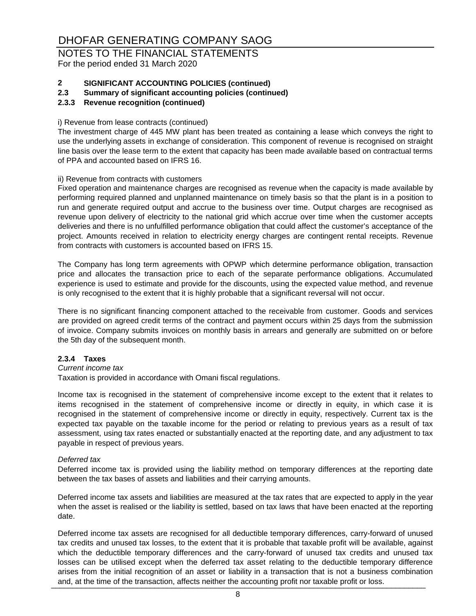# NOTES TO THE FINANCIAL STATEMENTS For the period ended 31 March 2020

# **2 SIGNIFICANT ACCOUNTING POLICIES (continued)**

**2.3 Summary of significant accounting policies (continued)**

# **2.3.3 Revenue recognition (continued)**

# i) Revenue from lease contracts (continued)

The investment charge of 445 MW plant has been treated as containing a lease which conveys the right to use the underlying assets in exchange of consideration. This component of revenue is recognised on straight line basis over the lease term to the extent that capacity has been made available based on contractual terms of PPA and accounted based on IFRS 16.

#### ii) Revenue from contracts with customers

Fixed operation and maintenance charges are recognised as revenue when the capacity is made available by performing required planned and unplanned maintenance on timely basis so that the plant is in a position to run and generate required output and accrue to the business over time. Output charges are recognised as revenue upon delivery of electricity to the national grid which accrue over time when the customer accepts deliveries and there is no unfulfilled performance obligation that could affect the customer's acceptance of the project. Amounts received in relation to electricity energy charges are contingent rental receipts. Revenue from contracts with customers is accounted based on IFRS 15.

The Company has long term agreements with OPWP which determine performance obligation, transaction price and allocates the transaction price to each of the separate performance obligations. Accumulated experience is used to estimate and provide for the discounts, using the expected value method, and revenue is only recognised to the extent that it is highly probable that a significant reversal will not occur.

There is no significant financing component attached to the receivable from customer. Goods and services are provided on agreed credit terms of the contract and payment occurs within 25 days from the submission of invoice. Company submits invoices on monthly basis in arrears and generally are submitted on or before the 5th day of the subsequent month.

# **2.3.4 Taxes**

#### *Current income tax*

Taxation is provided in accordance with Omani fiscal regulations.

Income tax is recognised in the statement of comprehensive income except to the extent that it relates to items recognised in the statement of comprehensive income or directly in equity, in which case it is recognised in the statement of comprehensive income or directly in equity, respectively. Current tax is the expected tax payable on the taxable income for the period or relating to previous years as a result of tax assessment, using tax rates enacted or substantially enacted at the reporting date, and any adjustment to tax payable in respect of previous years.

#### *Deferred tax*

Deferred income tax is provided using the liability method on temporary differences at the reporting date between the tax bases of assets and liabilities and their carrying amounts.

Deferred income tax assets and liabilities are measured at the tax rates that are expected to apply in the year when the asset is realised or the liability is settled, based on tax laws that have been enacted at the reporting date.

Deferred income tax assets are recognised for all deductible temporary differences, carry-forward of unused tax credits and unused tax losses, to the extent that it is probable that taxable profit will be available, against which the deductible temporary differences and the carry-forward of unused tax credits and unused tax losses can be utilised except when the deferred tax asset relating to the deductible temporary difference arises from the initial recognition of an asset or liability in a transaction that is not a business combination and, at the time of the transaction, affects neither the accounting profit nor taxable profit or loss.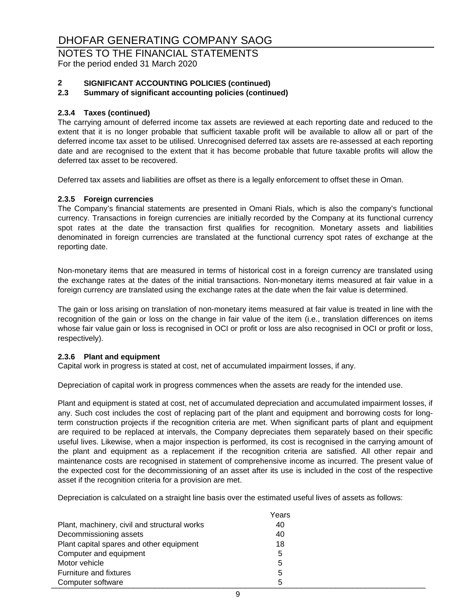# NOTES TO THE FINANCIAL STATEMENTS For the period ended 31 March 2020

# **2 SIGNIFICANT ACCOUNTING POLICIES (continued)**

# **2.3 Summary of significant accounting policies (continued)**

# **2.3.4 Taxes (continued)**

The carrying amount of deferred income tax assets are reviewed at each reporting date and reduced to the extent that it is no longer probable that sufficient taxable profit will be available to allow all or part of the deferred income tax asset to be utilised. Unrecognised deferred tax assets are re-assessed at each reporting date and are recognised to the extent that it has become probable that future taxable profits will allow the deferred tax asset to be recovered.

Deferred tax assets and liabilities are offset as there is a legally enforcement to offset these in Oman.

# **2.3.5 Foreign currencies**

The Company's financial statements are presented in Omani Rials, which is also the company's functional currency. Transactions in foreign currencies are initially recorded by the Company at its functional currency spot rates at the date the transaction first qualifies for recognition. Monetary assets and liabilities denominated in foreign currencies are translated at the functional currency spot rates of exchange at the reporting date.

Non-monetary items that are measured in terms of historical cost in a foreign currency are translated using the exchange rates at the dates of the initial transactions. Non-monetary items measured at fair value in a foreign currency are translated using the exchange rates at the date when the fair value is determined.

The gain or loss arising on translation of non-monetary items measured at fair value is treated in line with the recognition of the gain or loss on the change in fair value of the item (i.e., translation differences on items whose fair value gain or loss is recognised in OCI or profit or loss are also recognised in OCI or profit or loss, respectively).

# **2.3.6 Plant and equipment**

Capital work in progress is stated at cost, net of accumulated impairment losses, if any.

Depreciation of capital work in progress commences when the assets are ready for the intended use.

Plant and equipment is stated at cost, net of accumulated depreciation and accumulated impairment losses, if any. Such cost includes the cost of replacing part of the plant and equipment and borrowing costs for longterm construction projects if the recognition criteria are met. When significant parts of plant and equipment are required to be replaced at intervals, the Company depreciates them separately based on their specific useful lives. Likewise, when a major inspection is performed, its cost is recognised in the carrying amount of the plant and equipment as a replacement if the recognition criteria are satisfied. All other repair and maintenance costs are recognised in statement of comprehensive income as incurred. The present value of the expected cost for the decommissioning of an asset after its use is included in the cost of the respective asset if the recognition criteria for a provision are met.

Depreciation is calculated on a straight line basis over the estimated useful lives of assets as follows:

|                                              | Years |  |
|----------------------------------------------|-------|--|
| Plant, machinery, civil and structural works | 40    |  |
| Decommissioning assets                       | 40    |  |
| Plant capital spares and other equipment     | 18    |  |
| Computer and equipment                       | 5     |  |
| Motor vehicle                                | 5     |  |
| <b>Furniture and fixtures</b>                | 5     |  |
| Computer software                            | 5     |  |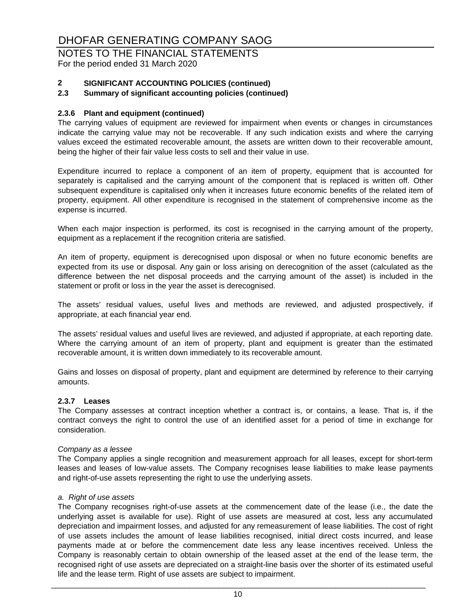# NOTES TO THE FINANCIAL STATEMENTS For the period ended 31 March 2020

# **2 SIGNIFICANT ACCOUNTING POLICIES (continued)**

# **2.3 Summary of significant accounting policies (continued)**

# **2.3.6 Plant and equipment (continued)**

The carrying values of equipment are reviewed for impairment when events or changes in circumstances indicate the carrying value may not be recoverable. If any such indication exists and where the carrying values exceed the estimated recoverable amount, the assets are written down to their recoverable amount, being the higher of their fair value less costs to sell and their value in use.

Expenditure incurred to replace a component of an item of property, equipment that is accounted for separately is capitalised and the carrying amount of the component that is replaced is written off. Other subsequent expenditure is capitalised only when it increases future economic benefits of the related item of property, equipment. All other expenditure is recognised in the statement of comprehensive income as the expense is incurred.

When each major inspection is performed, its cost is recognised in the carrying amount of the property, equipment as a replacement if the recognition criteria are satisfied.

An item of property, equipment is derecognised upon disposal or when no future economic benefits are expected from its use or disposal. Any gain or loss arising on derecognition of the asset (calculated as the difference between the net disposal proceeds and the carrying amount of the asset) is included in the statement or profit or loss in the year the asset is derecognised.

The assets' residual values, useful lives and methods are reviewed, and adjusted prospectively, if appropriate, at each financial year end.

The assets' residual values and useful lives are reviewed, and adjusted if appropriate, at each reporting date. Where the carrying amount of an item of property, plant and equipment is greater than the estimated recoverable amount, it is written down immediately to its recoverable amount.

Gains and losses on disposal of property, plant and equipment are determined by reference to their carrying amounts.

# **2.3.7 Leases**

The Company assesses at contract inception whether a contract is, or contains, a lease. That is, if the contract conveys the right to control the use of an identified asset for a period of time in exchange for consideration.

# *Company as a lessee*

The Company applies a single recognition and measurement approach for all leases, except for short-term leases and leases of low-value assets. The Company recognises lease liabilities to make lease payments and right-of-use assets representing the right to use the underlying assets.

#### *a. Right of use assets*

The Company recognises right-of-use assets at the commencement date of the lease (i.e., the date the underlying asset is available for use). Right of use assets are measured at cost, less any accumulated depreciation and impairment losses, and adjusted for any remeasurement of lease liabilities. The cost of right of use assets includes the amount of lease liabilities recognised, initial direct costs incurred, and lease payments made at or before the commencement date less any lease incentives received. Unless the Company is reasonably certain to obtain ownership of the leased asset at the end of the lease term, the recognised right of use assets are depreciated on a straight-line basis over the shorter of its estimated useful life and the lease term. Right of use assets are subject to impairment.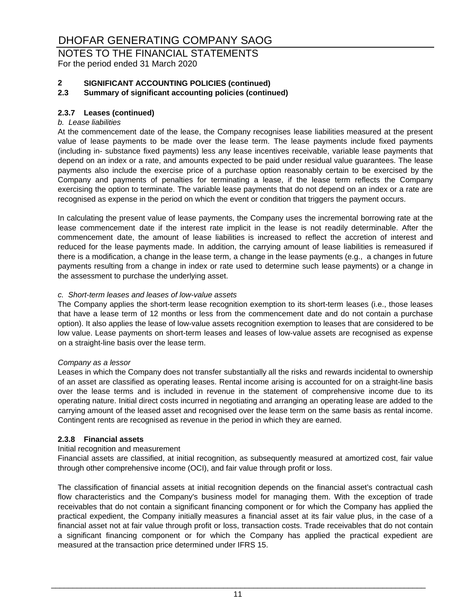# NOTES TO THE FINANCIAL STATEMENTS

For the period ended 31 March 2020

# **2 SIGNIFICANT ACCOUNTING POLICIES (continued)**

# **2.3 Summary of significant accounting policies (continued)**

# **2.3.7 Leases (continued)**

# *b. Lease liabilities*

At the commencement date of the lease, the Company recognises lease liabilities measured at the present value of lease payments to be made over the lease term. The lease payments include fixed payments (including in- substance fixed payments) less any lease incentives receivable, variable lease payments that depend on an index or a rate, and amounts expected to be paid under residual value guarantees. The lease payments also include the exercise price of a purchase option reasonably certain to be exercised by the Company and payments of penalties for terminating a lease, if the lease term reflects the Company exercising the option to terminate. The variable lease payments that do not depend on an index or a rate are recognised as expense in the period on which the event or condition that triggers the payment occurs.

In calculating the present value of lease payments, the Company uses the incremental borrowing rate at the lease commencement date if the interest rate implicit in the lease is not readily determinable. After the commencement date, the amount of lease liabilities is increased to reflect the accretion of interest and reduced for the lease payments made. In addition, the carrying amount of lease liabilities is remeasured if there is a modification, a change in the lease term, a change in the lease payments (e.g., a changes in future payments resulting from a change in index or rate used to determine such lease payments) or a change in the assessment to purchase the underlying asset.

# *c. Short-term leases and leases of low-value assets*

The Company applies the short-term lease recognition exemption to its short-term leases (i.e., those leases that have a lease term of 12 months or less from the commencement date and do not contain a purchase option). It also applies the lease of low-value assets recognition exemption to leases that are considered to be low value. Lease payments on short-term leases and leases of low-value assets are recognised as expense on a straight-line basis over the lease term.

# *Company as a lessor*

Leases in which the Company does not transfer substantially all the risks and rewards incidental to ownership of an asset are classified as operating leases. Rental income arising is accounted for on a straight-line basis over the lease terms and is included in revenue in the statement of comprehensive income due to its operating nature. Initial direct costs incurred in negotiating and arranging an operating lease are added to the carrying amount of the leased asset and recognised over the lease term on the same basis as rental income. Contingent rents are recognised as revenue in the period in which they are earned.

# **2.3.8 Financial assets**

# Initial recognition and measurement

Financial assets are classified, at initial recognition, as subsequently measured at amortized cost, fair value through other comprehensive income (OCI), and fair value through profit or loss.

The classification of financial assets at initial recognition depends on the financial asset's contractual cash flow characteristics and the Company's business model for managing them. With the exception of trade receivables that do not contain a significant financing component or for which the Company has applied the practical expedient, the Company initially measures a financial asset at its fair value plus, in the case of a financial asset not at fair value through profit or loss, transaction costs. Trade receivables that do not contain a significant financing component or for which the Company has applied the practical expedient are measured at the transaction price determined under IFRS 15.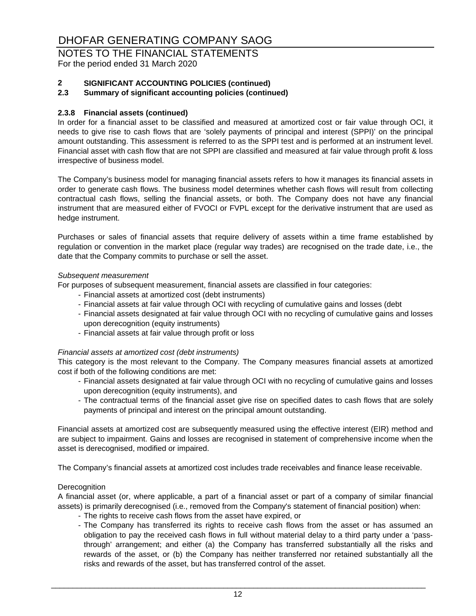# NOTES TO THE FINANCIAL STATEMENTS

For the period ended 31 March 2020

# **2 SIGNIFICANT ACCOUNTING POLICIES (continued)**

# **2.3 Summary of significant accounting policies (continued)**

# **2.3.8 Financial assets (continued)**

In order for a financial asset to be classified and measured at amortized cost or fair value through OCI, it needs to give rise to cash flows that are 'solely payments of principal and interest (SPPI)' on the principal amount outstanding. This assessment is referred to as the SPPI test and is performed at an instrument level. Financial asset with cash flow that are not SPPI are classified and measured at fair value through profit & loss irrespective of business model.

The Company's business model for managing financial assets refers to how it manages its financial assets in order to generate cash flows. The business model determines whether cash flows will result from collecting contractual cash flows, selling the financial assets, or both. The Company does not have any financial instrument that are measured either of FVOCI or FVPL except for the derivative instrument that are used as hedge instrument.

Purchases or sales of financial assets that require delivery of assets within a time frame established by regulation or convention in the market place (regular way trades) are recognised on the trade date, i.e., the date that the Company commits to purchase or sell the asset.

#### *Subsequent measurement*

For purposes of subsequent measurement, financial assets are classified in four categories:

- Financial assets at amortized cost (debt instruments)
- Financial assets at fair value through OCI with recycling of cumulative gains and losses (debt
- Financial assets designated at fair value through OCI with no recycling of cumulative gains and losses upon derecognition (equity instruments)
- Financial assets at fair value through profit or loss

# *Financial assets at amortized cost (debt instruments)*

This category is the most relevant to the Company. The Company measures financial assets at amortized cost if both of the following conditions are met:

- Financial assets designated at fair value through OCI with no recycling of cumulative gains and losses upon derecognition (equity instruments), and
- The contractual terms of the financial asset give rise on specified dates to cash flows that are solely payments of principal and interest on the principal amount outstanding.

Financial assets at amortized cost are subsequently measured using the effective interest (EIR) method and are subject to impairment. Gains and losses are recognised in statement of comprehensive income when the asset is derecognised, modified or impaired.

The Company's financial assets at amortized cost includes trade receivables and finance lease receivable.

# **Derecognition**

A financial asset (or, where applicable, a part of a financial asset or part of a company of similar financial assets) is primarily derecognised (i.e., removed from the Company's statement of financial position) when:

- The rights to receive cash flows from the asset have expired, or
- The Company has transferred its rights to receive cash flows from the asset or has assumed an obligation to pay the received cash flows in full without material delay to a third party under a 'passthrough' arrangement; and either (a) the Company has transferred substantially all the risks and rewards of the asset, or (b) the Company has neither transferred nor retained substantially all the risks and rewards of the asset, but has transferred control of the asset.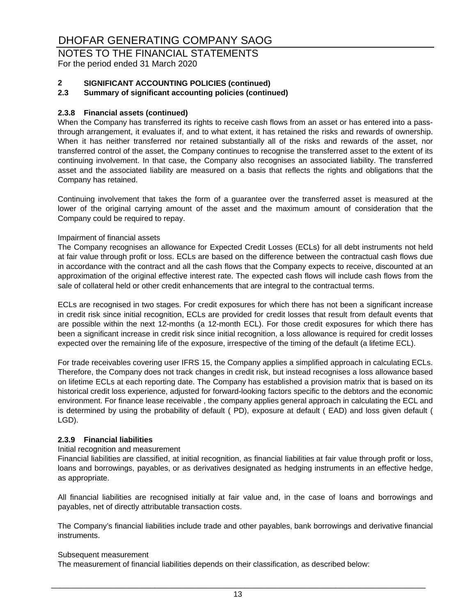# NOTES TO THE FINANCIAL STATEMENTS

For the period ended 31 March 2020

# **2 SIGNIFICANT ACCOUNTING POLICIES (continued)**

# **2.3 Summary of significant accounting policies (continued)**

# **2.3.8 Financial assets (continued)**

When the Company has transferred its rights to receive cash flows from an asset or has entered into a passthrough arrangement, it evaluates if, and to what extent, it has retained the risks and rewards of ownership. When it has neither transferred nor retained substantially all of the risks and rewards of the asset, nor transferred control of the asset, the Company continues to recognise the transferred asset to the extent of its continuing involvement. In that case, the Company also recognises an associated liability. The transferred asset and the associated liability are measured on a basis that reflects the rights and obligations that the Company has retained.

Continuing involvement that takes the form of a guarantee over the transferred asset is measured at the lower of the original carrying amount of the asset and the maximum amount of consideration that the Company could be required to repay.

# Impairment of financial assets

The Company recognises an allowance for Expected Credit Losses (ECLs) for all debt instruments not held at fair value through profit or loss. ECLs are based on the difference between the contractual cash flows due in accordance with the contract and all the cash flows that the Company expects to receive, discounted at an approximation of the original effective interest rate. The expected cash flows will include cash flows from the sale of collateral held or other credit enhancements that are integral to the contractual terms.

ECLs are recognised in two stages. For credit exposures for which there has not been a significant increase in credit risk since initial recognition, ECLs are provided for credit losses that result from default events that are possible within the next 12-months (a 12-month ECL). For those credit exposures for which there has been a significant increase in credit risk since initial recognition, a loss allowance is required for credit losses expected over the remaining life of the exposure, irrespective of the timing of the default (a lifetime ECL).

For trade receivables covering user IFRS 15, the Company applies a simplified approach in calculating ECLs. Therefore, the Company does not track changes in credit risk, but instead recognises a loss allowance based on lifetime ECLs at each reporting date. The Company has established a provision matrix that is based on its historical credit loss experience, adjusted for forward-looking factors specific to the debtors and the economic environment. For finance lease receivable , the company applies general approach in calculating the ECL and is determined by using the probability of default ( PD), exposure at default ( EAD) and loss given default ( LGD).

# **2.3.9 Financial liabilities**

#### Initial recognition and measurement

Financial liabilities are classified, at initial recognition, as financial liabilities at fair value through profit or loss, loans and borrowings, payables, or as derivatives designated as hedging instruments in an effective hedge, as appropriate.

All financial liabilities are recognised initially at fair value and, in the case of loans and borrowings and payables, net of directly attributable transaction costs.

The Company's financial liabilities include trade and other payables, bank borrowings and derivative financial instruments.

#### Subsequent measurement

The measurement of financial liabilities depends on their classification, as described below: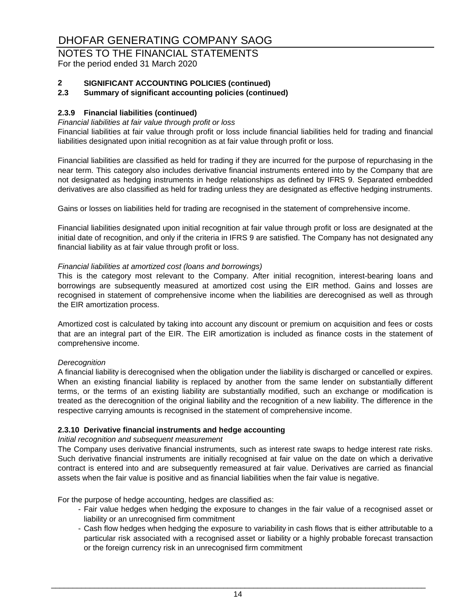# NOTES TO THE FINANCIAL STATEMENTS

For the period ended 31 March 2020

# **2 SIGNIFICANT ACCOUNTING POLICIES (continued)**

# **2.3 Summary of significant accounting policies (continued)**

# **2.3.9 Financial liabilities (continued)**

# *Financial liabilities at fair value through profit or loss*

Financial liabilities at fair value through profit or loss include financial liabilities held for trading and financial liabilities designated upon initial recognition as at fair value through profit or loss.

Financial liabilities are classified as held for trading if they are incurred for the purpose of repurchasing in the near term. This category also includes derivative financial instruments entered into by the Company that are not designated as hedging instruments in hedge relationships as defined by IFRS 9. Separated embedded derivatives are also classified as held for trading unless they are designated as effective hedging instruments.

Gains or losses on liabilities held for trading are recognised in the statement of comprehensive income.

Financial liabilities designated upon initial recognition at fair value through profit or loss are designated at the initial date of recognition, and only if the criteria in IFRS 9 are satisfied. The Company has not designated any financial liability as at fair value through profit or loss.

# *Financial liabilities at amortized cost (loans and borrowings)*

This is the category most relevant to the Company. After initial recognition, interest-bearing loans and borrowings are subsequently measured at amortized cost using the EIR method. Gains and losses are recognised in statement of comprehensive income when the liabilities are derecognised as well as through the EIR amortization process.

Amortized cost is calculated by taking into account any discount or premium on acquisition and fees or costs that are an integral part of the EIR. The EIR amortization is included as finance costs in the statement of comprehensive income.

# *Derecognition*

A financial liability is derecognised when the obligation under the liability is discharged or cancelled or expires. When an existing financial liability is replaced by another from the same lender on substantially different terms, or the terms of an existing liability are substantially modified, such an exchange or modification is treated as the derecognition of the original liability and the recognition of a new liability. The difference in the respective carrying amounts is recognised in the statement of comprehensive income.

# **2.3.10 Derivative financial instruments and hedge accounting**

# *Initial recognition and subsequent measurement*

The Company uses derivative financial instruments, such as interest rate swaps to hedge interest rate risks. Such derivative financial instruments are initially recognised at fair value on the date on which a derivative contract is entered into and are subsequently remeasured at fair value. Derivatives are carried as financial assets when the fair value is positive and as financial liabilities when the fair value is negative.

For the purpose of hedge accounting, hedges are classified as:

- Fair value hedges when hedging the exposure to changes in the fair value of a recognised asset or liability or an unrecognised firm commitment
- Cash flow hedges when hedging the exposure to variability in cash flows that is either attributable to a particular risk associated with a recognised asset or liability or a highly probable forecast transaction or the foreign currency risk in an unrecognised firm commitment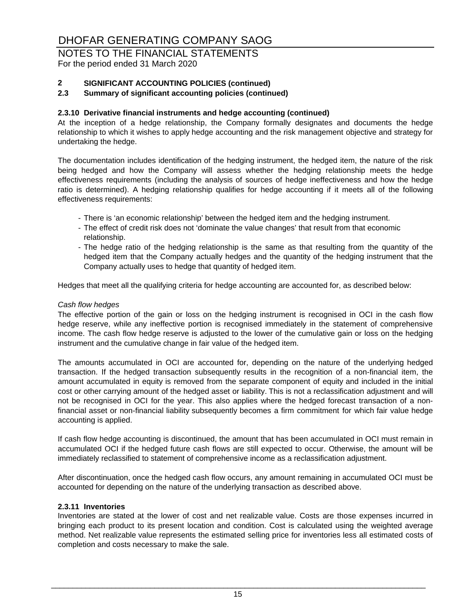# NOTES TO THE FINANCIAL STATEMENTS

For the period ended 31 March 2020

# **2 SIGNIFICANT ACCOUNTING POLICIES (continued)**

# **2.3 Summary of significant accounting policies (continued)**

# **2.3.10 Derivative financial instruments and hedge accounting (continued)**

At the inception of a hedge relationship, the Company formally designates and documents the hedge relationship to which it wishes to apply hedge accounting and the risk management objective and strategy for undertaking the hedge.

The documentation includes identification of the hedging instrument, the hedged item, the nature of the risk being hedged and how the Company will assess whether the hedging relationship meets the hedge effectiveness requirements (including the analysis of sources of hedge ineffectiveness and how the hedge ratio is determined). A hedging relationship qualifies for hedge accounting if it meets all of the following effectiveness requirements:

- There is 'an economic relationship' between the hedged item and the hedging instrument.
- The effect of credit risk does not 'dominate the value changes' that result from that economic relationship.
- The hedge ratio of the hedging relationship is the same as that resulting from the quantity of the hedged item that the Company actually hedges and the quantity of the hedging instrument that the Company actually uses to hedge that quantity of hedged item.

Hedges that meet all the qualifying criteria for hedge accounting are accounted for, as described below:

#### *Cash flow hedges*

The effective portion of the gain or loss on the hedging instrument is recognised in OCI in the cash flow hedge reserve, while any ineffective portion is recognised immediately in the statement of comprehensive income. The cash flow hedge reserve is adjusted to the lower of the cumulative gain or loss on the hedging instrument and the cumulative change in fair value of the hedged item.

The amounts accumulated in OCI are accounted for, depending on the nature of the underlying hedged transaction. If the hedged transaction subsequently results in the recognition of a non-financial item, the amount accumulated in equity is removed from the separate component of equity and included in the initial cost or other carrying amount of the hedged asset or liability. This is not a reclassification adjustment and will not be recognised in OCI for the year. This also applies where the hedged forecast transaction of a nonfinancial asset or non-financial liability subsequently becomes a firm commitment for which fair value hedge accounting is applied.

If cash flow hedge accounting is discontinued, the amount that has been accumulated in OCI must remain in accumulated OCI if the hedged future cash flows are still expected to occur. Otherwise, the amount will be immediately reclassified to statement of comprehensive income as a reclassification adjustment.

After discontinuation, once the hedged cash flow occurs, any amount remaining in accumulated OCI must be accounted for depending on the nature of the underlying transaction as described above.

# **2.3.11 Inventories**

Inventories are stated at the lower of cost and net realizable value. Costs are those expenses incurred in bringing each product to its present location and condition. Cost is calculated using the weighted average method. Net realizable value represents the estimated selling price for inventories less all estimated costs of completion and costs necessary to make the sale.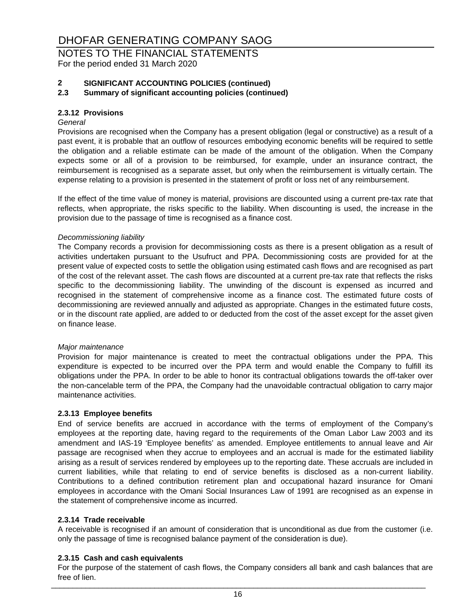# NOTES TO THE FINANCIAL STATEMENTS For the period ended 31 March 2020

# **2 SIGNIFICANT ACCOUNTING POLICIES (continued)**

# **2.3 Summary of significant accounting policies (continued)**

# **2.3.12 Provisions**

#### *General*

Provisions are recognised when the Company has a present obligation (legal or constructive) as a result of a past event, it is probable that an outflow of resources embodying economic benefits will be required to settle the obligation and a reliable estimate can be made of the amount of the obligation. When the Company expects some or all of a provision to be reimbursed, for example, under an insurance contract, the reimbursement is recognised as a separate asset, but only when the reimbursement is virtually certain. The expense relating to a provision is presented in the statement of profit or loss net of any reimbursement.

If the effect of the time value of money is material, provisions are discounted using a current pre-tax rate that reflects, when appropriate, the risks specific to the liability. When discounting is used, the increase in the provision due to the passage of time is recognised as a finance cost.

#### *Decommissioning liability*

The Company records a provision for decommissioning costs as there is a present obligation as a result of activities undertaken pursuant to the Usufruct and PPA. Decommissioning costs are provided for at the present value of expected costs to settle the obligation using estimated cash flows and are recognised as part of the cost of the relevant asset. The cash flows are discounted at a current pre-tax rate that reflects the risks specific to the decommissioning liability. The unwinding of the discount is expensed as incurred and recognised in the statement of comprehensive income as a finance cost. The estimated future costs of decommissioning are reviewed annually and adjusted as appropriate. Changes in the estimated future costs, or in the discount rate applied, are added to or deducted from the cost of the asset except for the asset given on finance lease.

# *Major maintenance*

Provision for major maintenance is created to meet the contractual obligations under the PPA. This expenditure is expected to be incurred over the PPA term and would enable the Company to fulfill its obligations under the PPA. In order to be able to honor its contractual obligations towards the off-taker over the non-cancelable term of the PPA, the Company had the unavoidable contractual obligation to carry major maintenance activities.

# **2.3.13 Employee benefits**

End of service benefits are accrued in accordance with the terms of employment of the Company's employees at the reporting date, having regard to the requirements of the Oman Labor Law 2003 and its amendment and IAS-19 'Employee benefits' as amended. Employee entitlements to annual leave and Air passage are recognised when they accrue to employees and an accrual is made for the estimated liability arising as a result of services rendered by employees up to the reporting date. These accruals are included in current liabilities, while that relating to end of service benefits is disclosed as a non-current liability. Contributions to a defined contribution retirement plan and occupational hazard insurance for Omani employees in accordance with the Omani Social Insurances Law of 1991 are recognised as an expense in the statement of comprehensive income as incurred.

#### **2.3.14 Trade receivable**

A receivable is recognised if an amount of consideration that is unconditional as due from the customer (i.e. only the passage of time is recognised balance payment of the consideration is due).

# **2.3.15 Cash and cash equivalents**

For the purpose of the statement of cash flows, the Company considers all bank and cash balances that are free of lien. \_\_\_\_\_\_\_\_\_\_\_\_\_\_\_\_\_\_\_\_\_\_\_\_\_\_\_\_\_\_\_\_\_\_\_\_\_\_\_\_\_\_\_\_\_\_\_\_\_\_\_\_\_\_\_\_\_\_\_\_\_\_\_\_\_\_\_\_\_\_\_\_\_\_\_\_\_\_\_\_\_\_\_\_\_\_\_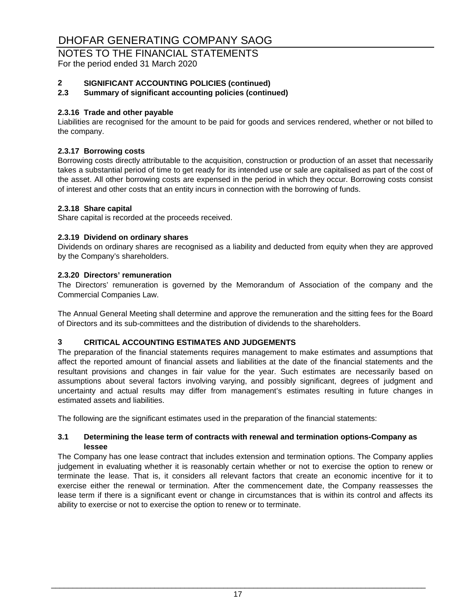# NOTES TO THE FINANCIAL STATEMENTS

For the period ended 31 March 2020

# **2 SIGNIFICANT ACCOUNTING POLICIES (continued)**

# **2.3 Summary of significant accounting policies (continued)**

# **2.3.16 Trade and other payable**

Liabilities are recognised for the amount to be paid for goods and services rendered, whether or not billed to the company.

# **2.3.17 Borrowing costs**

Borrowing costs directly attributable to the acquisition, construction or production of an asset that necessarily takes a substantial period of time to get ready for its intended use or sale are capitalised as part of the cost of the asset. All other borrowing costs are expensed in the period in which they occur. Borrowing costs consist of interest and other costs that an entity incurs in connection with the borrowing of funds.

# **2.3.18 Share capital**

Share capital is recorded at the proceeds received.

# **2.3.19 Dividend on ordinary shares**

Dividends on ordinary shares are recognised as a liability and deducted from equity when they are approved by the Company's shareholders.

# **2.3.20 Directors' remuneration**

The Directors' remuneration is governed by the Memorandum of Association of the company and the Commercial Companies Law.

The Annual General Meeting shall determine and approve the remuneration and the sitting fees for the Board of Directors and its sub-committees and the distribution of dividends to the shareholders.

# **3 CRITICAL ACCOUNTING ESTIMATES AND JUDGEMENTS**

The preparation of the financial statements requires management to make estimates and assumptions that affect the reported amount of financial assets and liabilities at the date of the financial statements and the resultant provisions and changes in fair value for the year. Such estimates are necessarily based on assumptions about several factors involving varying, and possibly significant, degrees of judgment and uncertainty and actual results may differ from management's estimates resulting in future changes in estimated assets and liabilities.

The following are the significant estimates used in the preparation of the financial statements:

#### **3.1 Determining the lease term of contracts with renewal and termination options-Company as lessee**

The Company has one lease contract that includes extension and termination options. The Company applies judgement in evaluating whether it is reasonably certain whether or not to exercise the option to renew or terminate the lease. That is, it considers all relevant factors that create an economic incentive for it to exercise either the renewal or termination. After the commencement date, the Company reassesses the lease term if there is a significant event or change in circumstances that is within its control and affects its ability to exercise or not to exercise the option to renew or to terminate.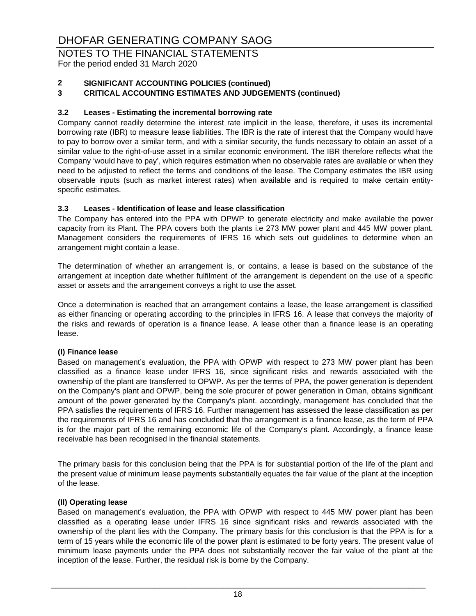# NOTES TO THE FINANCIAL STATEMENTS For the period ended 31 March 2020

# **2 SIGNIFICANT ACCOUNTING POLICIES (continued)**

# **3 CRITICAL ACCOUNTING ESTIMATES AND JUDGEMENTS (continued)**

# **3.2 Leases - Estimating the incremental borrowing rate**

Company cannot readily determine the interest rate implicit in the lease, therefore, it uses its incremental borrowing rate (IBR) to measure lease liabilities. The IBR is the rate of interest that the Company would have to pay to borrow over a similar term, and with a similar security, the funds necessary to obtain an asset of a similar value to the right-of-use asset in a similar economic environment. The IBR therefore reflects what the Company 'would have to pay', which requires estimation when no observable rates are available or when they need to be adjusted to reflect the terms and conditions of the lease. The Company estimates the IBR using observable inputs (such as market interest rates) when available and is required to make certain entityspecific estimates.

# **3.3 Leases - Identification of lease and lease classification**

The Company has entered into the PPA with OPWP to generate electricity and make available the power capacity from its Plant. The PPA covers both the plants i.e 273 MW power plant and 445 MW power plant. Management considers the requirements of IFRS 16 which sets out guidelines to determine when an arrangement might contain a lease.

The determination of whether an arrangement is, or contains, a lease is based on the substance of the arrangement at inception date whether fulfilment of the arrangement is dependent on the use of a specific asset or assets and the arrangement conveys a right to use the asset.

Once a determination is reached that an arrangement contains a lease, the lease arrangement is classified as either financing or operating according to the principles in IFRS 16. A lease that conveys the majority of the risks and rewards of operation is a finance lease. A lease other than a finance lease is an operating lease.

# **(I) Finance lease**

Based on management's evaluation, the PPA with OPWP with respect to 273 MW power plant has been classified as a finance lease under IFRS 16, since significant risks and rewards associated with the ownership of the plant are transferred to OPWP. As per the terms of PPA, the power generation is dependent on the Company's plant and OPWP, being the sole procurer of power generation in Oman, obtains significant amount of the power generated by the Company's plant. accordingly, management has concluded that the PPA satisfies the requirements of IFRS 16. Further management has assessed the lease classification as per the requirements of IFRS 16 and has concluded that the arrangement is a finance lease, as the term of PPA is for the major part of the remaining economic life of the Company's plant. Accordingly, a finance lease receivable has been recognised in the financial statements.

The primary basis for this conclusion being that the PPA is for substantial portion of the life of the plant and the present value of minimum lease payments substantially equates the fair value of the plant at the inception of the lease.

# **(II) Operating lease**

Based on management's evaluation, the PPA with OPWP with respect to 445 MW power plant has been classified as a operating lease under IFRS 16 since significant risks and rewards associated with the ownership of the plant lies with the Company. The primary basis for this conclusion is that the PPA is for a term of 15 years while the economic life of the power plant is estimated to be forty years. The present value of minimum lease payments under the PPA does not substantially recover the fair value of the plant at the inception of the lease. Further, the residual risk is borne by the Company.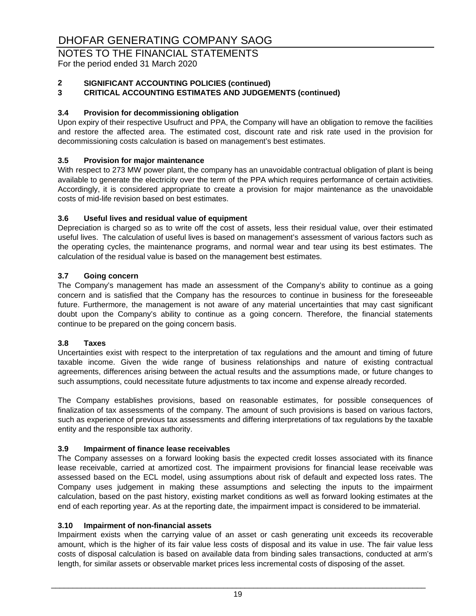# NOTES TO THE FINANCIAL STATEMENTS

For the period ended 31 March 2020

# **2 SIGNIFICANT ACCOUNTING POLICIES (continued)**

# **3 CRITICAL ACCOUNTING ESTIMATES AND JUDGEMENTS (continued)**

# **3.4 Provision for decommissioning obligation**

Upon expiry of their respective Usufruct and PPA, the Company will have an obligation to remove the facilities and restore the affected area. The estimated cost, discount rate and risk rate used in the provision for decommissioning costs calculation is based on management's best estimates.

# **3.5 Provision for major maintenance**

With respect to 273 MW power plant, the company has an unavoidable contractual obligation of plant is being available to generate the electricity over the term of the PPA which requires performance of certain activities. Accordingly, it is considered appropriate to create a provision for major maintenance as the unavoidable costs of mid-life revision based on best estimates.

# **3.6 Useful lives and residual value of equipment**

Depreciation is charged so as to write off the cost of assets, less their residual value, over their estimated useful lives. The calculation of useful lives is based on management's assessment of various factors such as the operating cycles, the maintenance programs, and normal wear and tear using its best estimates. The calculation of the residual value is based on the management best estimates.

# **3.7 Going concern**

The Company's management has made an assessment of the Company's ability to continue as a going concern and is satisfied that the Company has the resources to continue in business for the foreseeable future. Furthermore, the management is not aware of any material uncertainties that may cast significant doubt upon the Company's ability to continue as a going concern. Therefore, the financial statements continue to be prepared on the going concern basis.

# **3.8 Taxes**

Uncertainties exist with respect to the interpretation of tax regulations and the amount and timing of future taxable income. Given the wide range of business relationships and nature of existing contractual agreements, differences arising between the actual results and the assumptions made, or future changes to such assumptions, could necessitate future adjustments to tax income and expense already recorded.

The Company establishes provisions, based on reasonable estimates, for possible consequences of finalization of tax assessments of the company. The amount of such provisions is based on various factors, such as experience of previous tax assessments and differing interpretations of tax regulations by the taxable entity and the responsible tax authority.

# **3.9 Impairment of finance lease receivables**

The Company assesses on a forward looking basis the expected credit losses associated with its finance lease receivable, carried at amortized cost. The impairment provisions for financial lease receivable was assessed based on the ECL model, using assumptions about risk of default and expected loss rates. The Company uses judgement in making these assumptions and selecting the inputs to the impairment calculation, based on the past history, existing market conditions as well as forward looking estimates at the end of each reporting year. As at the reporting date, the impairment impact is considered to be immaterial.

# **3.10 Impairment of non-financial assets**

Impairment exists when the carrying value of an asset or cash generating unit exceeds its recoverable amount, which is the higher of its fair value less costs of disposal and its value in use. The fair value less costs of disposal calculation is based on available data from binding sales transactions, conducted at arm's length, for similar assets or observable market prices less incremental costs of disposing of the asset.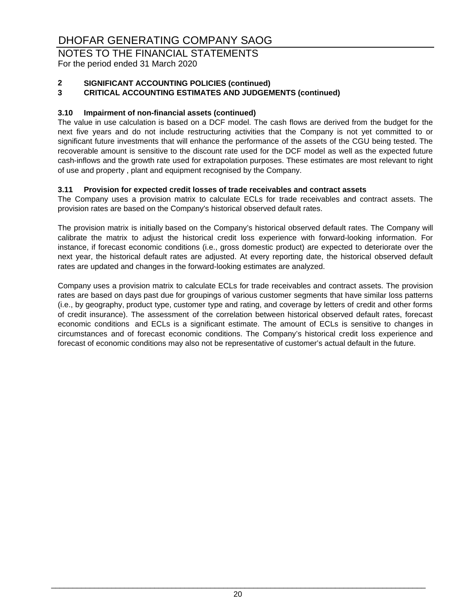# NOTES TO THE FINANCIAL STATEMENTS

For the period ended 31 March 2020

# **2 SIGNIFICANT ACCOUNTING POLICIES (continued)**

# **3 CRITICAL ACCOUNTING ESTIMATES AND JUDGEMENTS (continued)**

# **3.10 Impairment of non-financial assets (continued)**

The value in use calculation is based on a DCF model. The cash flows are derived from the budget for the next five years and do not include restructuring activities that the Company is not yet committed to or significant future investments that will enhance the performance of the assets of the CGU being tested. The recoverable amount is sensitive to the discount rate used for the DCF model as well as the expected future cash-inflows and the growth rate used for extrapolation purposes. These estimates are most relevant to right of use and property , plant and equipment recognised by the Company.

# **3.11 Provision for expected credit losses of trade receivables and contract assets**

The Company uses a provision matrix to calculate ECLs for trade receivables and contract assets. The provision rates are based on the Company's historical observed default rates.

The provision matrix is initially based on the Company's historical observed default rates. The Company will calibrate the matrix to adjust the historical credit loss experience with forward-looking information. For instance, if forecast economic conditions (i.e., gross domestic product) are expected to deteriorate over the next year, the historical default rates are adjusted. At every reporting date, the historical observed default rates are updated and changes in the forward-looking estimates are analyzed.

Company uses a provision matrix to calculate ECLs for trade receivables and contract assets. The provision rates are based on days past due for groupings of various customer segments that have similar loss patterns (i.e., by geography, product type, customer type and rating, and coverage by letters of credit and other forms of credit insurance). The assessment of the correlation between historical observed default rates, forecast economic conditions and ECLs is a significant estimate. The amount of ECLs is sensitive to changes in circumstances and of forecast economic conditions. The Company's historical credit loss experience and forecast of economic conditions may also not be representative of customer's actual default in the future.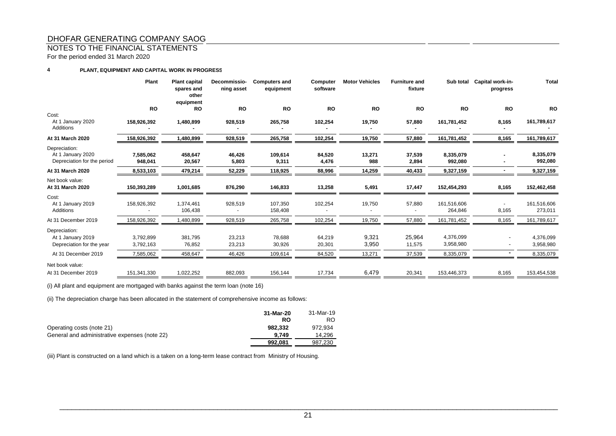#### NOTES TO THE FINANCIAL STATEMENTS

For the period ended 31 March 2020

#### **4PLANT, EQUIPMENT AND CAPITAL WORK IN PROGRESS**

|                                                                   | Plant                | <b>Plant capital</b><br>spares and<br>other<br>equipment | Decommissio-<br>ning asset | <b>Computers and</b><br>equipment | Computer<br>software | <b>Motor Vehicles</b> | <b>Furniture and</b><br>fixture | Sub total              | Capital work-in-<br>progress | <b>Total</b>           |
|-------------------------------------------------------------------|----------------------|----------------------------------------------------------|----------------------------|-----------------------------------|----------------------|-----------------------|---------------------------------|------------------------|------------------------------|------------------------|
|                                                                   | <b>RO</b>            | RO                                                       | <b>RO</b>                  | <b>RO</b>                         | <b>RO</b>            | <b>RO</b>             | <b>RO</b>                       | <b>RO</b>              | <b>RO</b>                    | <b>RO</b>              |
| Cost:<br>At 1 January 2020<br>Additions                           | 158,926,392          | 1,480,899                                                | 928,519                    | 265,758                           | 102,254              | 19,750                | 57,880                          | 161,781,452            | 8,165                        | 161,789,617            |
| At 31 March 2020                                                  | 158,926,392          | 1,480,899                                                | 928,519                    | 265,758                           | 102,254              | 19,750                | 57,880                          | 161,781,452            | 8,165                        | 161,789,617            |
| Depreciation:<br>At 1 January 2020<br>Depreciation for the period | 7,585,062<br>948,041 | 458,647<br>20,567                                        | 46,426<br>5,803            | 109,614<br>9,311                  | 84,520<br>4,476      | 13,271<br>988         | 37,539<br>2,894                 | 8,335,079<br>992,080   |                              | 8,335,079<br>992,080   |
| At 31 March 2020                                                  | 8,533,103            | 479,214                                                  | 52,229                     | 118,925                           | 88,996               | 14,259                | 40,433                          | 9,327,159              |                              | 9,327,159              |
| Net book value:<br>At 31 March 2020                               | 150,393,289          | 1,001,685                                                | 876,290                    | 146,833                           | 13,258               | 5,491                 | 17,447                          | 152,454,293            | 8,165                        | 152,462,458            |
| Cost:<br>At 1 January 2019<br>Additions                           | 158,926,392          | 1,374,461<br>106,438                                     | 928,519                    | 107,350<br>158,408                | 102,254              | 19,750                | 57,880                          | 161,516,606<br>264,846 | 8,165                        | 161,516,606<br>273,011 |
| At 31 December 2019                                               | 158,926,392          | ,480,899                                                 | 928,519                    | 265,758                           | 102,254              | 19,750                | 57,880                          | 161,781,452            | 8,165                        | 161,789,617            |
| Depreciation:<br>At 1 January 2019                                | 3,792,899            | 381,795                                                  | 23,213                     | 78,688                            | 64,219               | 9,321                 | 25,964<br>11,575                | 4,376,099<br>3,958,980 |                              | 4,376,099              |
| Depreciation for the year                                         | 3,792,163            | 76,852                                                   | 23,213                     | 30,926                            | 20,301               | 3,950                 |                                 |                        |                              | 3,958,980              |
| At 31 December 2019                                               | 7,585,062            | 458,647                                                  | 46,426                     | 109,614                           | 84,520               | 13,271                | 37,539                          | 8,335,079              |                              | 8,335,079              |
| Net book value:<br>At 31 December 2019                            | 151,341,330          | 1,022,252                                                | 882,093                    | 156,144                           | 17,734               | 6,479                 | 20,341                          | 153,446,373            | 8,165                        | 153,454,538            |

(i) All plant and equipment are mortgaged with banks against the term loan (note 16)

(ii) The depreciation charge has been allocated in the statement of comprehensive income as follows:

|                                               | 31-Mar-20 | 31-Mar-19 |
|-----------------------------------------------|-----------|-----------|
|                                               | RO.       | RO        |
| Operating costs (note 21)                     | 982.332   | 972.934   |
| General and administrative expenses (note 22) | 9.749     | 14.296    |
|                                               | 992.081   | 987.230   |

(iii) Plant is constructed on a land which is a taken on a long-term lease contract from Ministry of Housing.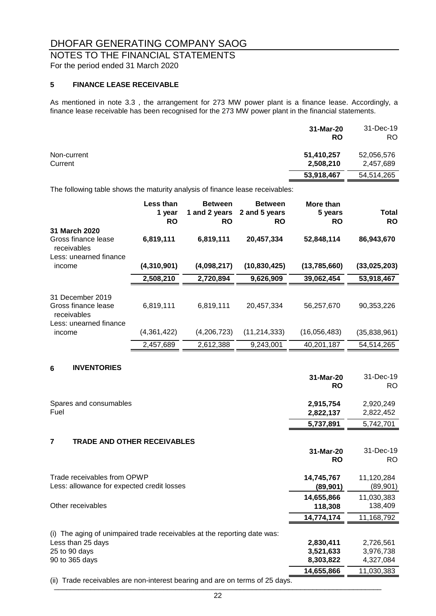# NOTES TO THE FINANCIAL STATEMENTS

For the period ended 31 March 2020

# **5 FINANCE LEASE RECEIVABLE**

As mentioned in note 3.3 , the arrangement for 273 MW power plant is a finance lease. Accordingly, a finance lease receivable has been recognised for the 273 MW power plant in the financial statements.

|                        | 31-Mar-20<br><b>RO</b>  | 31-Dec-19<br>RO.        |
|------------------------|-------------------------|-------------------------|
| Non-current<br>Current | 51,410,257<br>2,508,210 | 52,056,576<br>2,457,689 |
|                        | 53,918,467              | 54,514,265              |

The following table shows the maturity analysis of finance lease receivables:

|                                                                                  | Less than<br>1 year<br><b>RO</b> | <b>Between</b><br>1 and 2 years<br><b>RO</b> | <b>Between</b><br>2 and 5 years<br><b>RO</b> | More than<br>5 years<br><b>RO</b> | Total<br><b>RO</b> |
|----------------------------------------------------------------------------------|----------------------------------|----------------------------------------------|----------------------------------------------|-----------------------------------|--------------------|
| 31 March 2020<br>Gross finance lease<br>receivables<br>Less: unearned finance    | 6,819,111                        | 6,819,111                                    | 20,457,334                                   | 52,848,114                        | 86,943,670         |
| income                                                                           | (4,310,901)                      | (4,098,217)                                  | (10, 830, 425)                               | (13,785,660)                      | (33,025,203)       |
|                                                                                  | 2,508,210                        | 2,720,894                                    | 9,626,909                                    | 39,062,454                        | 53,918,467         |
| 31 December 2019<br>Gross finance lease<br>receivables<br>Less: unearned finance | 6,819,111                        | 6,819,111                                    | 20.457.334                                   | 56,257,670                        | 90.353.226         |
| income                                                                           | (4,361,422)                      | (4,206,723)                                  | (11, 214, 333)                               | (16,056,483)                      | (35,838,961)       |
|                                                                                  | 2,457,689                        | 2,612,388                                    | 9,243,001                                    | 40,201,187                        | 54,514,265         |
|                                                                                  |                                  |                                              |                                              |                                   |                    |

# **6 INVENTORIES**

|                                                                          | 31-Mar-20<br><b>RO</b> | 31-Dec-19<br>RO. |
|--------------------------------------------------------------------------|------------------------|------------------|
| Spares and consumables                                                   | 2,915,754              | 2,920,249        |
| Fuel                                                                     | 2,822,137              | 2,822,452        |
|                                                                          | 5,737,891              | 5,742,701        |
| $\overline{7}$<br><b>TRADE AND OTHER RECEIVABLES</b>                     |                        |                  |
|                                                                          | 31-Mar-20              | 31-Dec-19        |
|                                                                          | <b>RO</b>              | RO.              |
| Trade receivables from OPWP                                              | 14,745,767             | 11,120,284       |
| Less: allowance for expected credit losses                               | (89, 901)              | (89,901)         |
|                                                                          | 14,655,866             | 11,030,383       |
| Other receivables                                                        | 118,308                | 138,409          |
|                                                                          | 14,774,174             | 11,168,792       |
| (i) The aging of unimpaired trade receivables at the reporting date was: |                        |                  |
| Less than 25 days                                                        | 2,830,411              | 2,726,561        |
| 25 to 90 days                                                            | 3,521,633              | 3,976,738        |
| 90 to 365 days                                                           | 8,303,822              | 4,327,084        |
|                                                                          | 14,655,866             | 11,030,383       |

(ii) Trade receivables are non-interest bearing and are on terms of 25 days. \_\_\_\_\_\_\_\_\_\_\_\_\_\_\_\_\_\_\_\_\_\_\_\_\_\_\_\_\_\_\_\_\_\_\_\_\_\_\_\_\_\_\_\_\_\_\_\_\_\_\_\_\_\_\_\_\_\_\_\_\_\_\_\_\_\_\_\_\_\_\_\_\_\_\_\_\_\_\_\_\_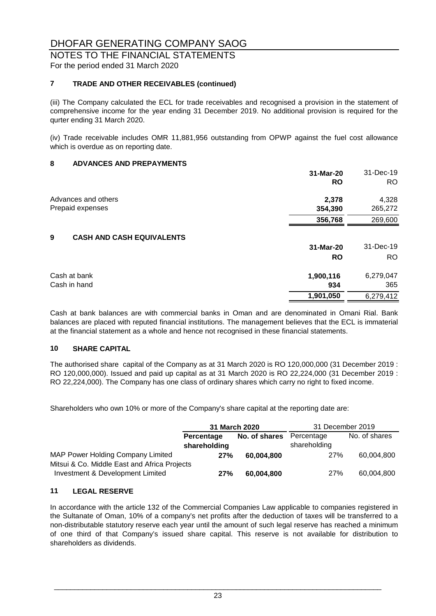# NOTES TO THE FINANCIAL STATEMENTS

For the period ended 31 March 2020

# **7 TRADE AND OTHER RECEIVABLES (continued)**

(iii) The Company calculated the ECL for trade receivables and recognised a provision in the statement of comprehensive income for the year ending 31 December 2019. No additional provision is required for the qurter ending 31 March 2020.

(iv) Trade receivable includes OMR 11,881,956 outstanding from OPWP against the fuel cost allowance which is overdue as on reporting date.

# **8 ADVANCES AND PREPAYMENTS**

|                                       | 31-Mar-20 | 31-Dec-19 |
|---------------------------------------|-----------|-----------|
|                                       | <b>RO</b> | RO.       |
| Advances and others                   | 2,378     | 4,328     |
| Prepaid expenses                      | 354,390   | 265,272   |
|                                       | 356,768   | 269,600   |
| 9<br><b>CASH AND CASH EQUIVALENTS</b> |           |           |
|                                       | 31-Mar-20 | 31-Dec-19 |
|                                       | <b>RO</b> | RO.       |
| Cash at bank                          | 1,900,116 | 6,279,047 |
| Cash in hand                          | 934       | 365       |
|                                       | 1,901,050 | 6,279,412 |

Cash at bank balances are with commercial banks in Oman and are denominated in Omani Rial. Bank balances are placed with reputed financial institutions. The management believes that the ECL is immaterial at the financial statement as a whole and hence not recognised in these financial statements.

# **10 SHARE CAPITAL**

The authorised share capital of the Company as at 31 March 2020 is RO 120,000,000 (31 December 2019 : RO 120,000,000). Issued and paid up capital as at 31 March 2020 is RO 22,224,000 (31 December 2019 : RO 22,224,000). The Company has one class of ordinary shares which carry no right to fixed income.

Shareholders who own 10% or more of the Company's share capital at the reporting date are:

|                                              | 31 March 2020 |               | 31 December 2019 |               |
|----------------------------------------------|---------------|---------------|------------------|---------------|
|                                              | Percentage    | No. of shares | Percentage       | No. of shares |
|                                              | shareholding  |               | shareholding     |               |
| MAP Power Holding Company Limited            | 27%           | 60.004.800    | 27%              | 60,004,800    |
| Mitsui & Co. Middle East and Africa Projects |               |               |                  |               |
| Investment & Development Limited             | 27%           | 60,004,800    | 27%              | 60,004,800    |

# **11 LEGAL RESERVE**

In accordance with the article 132 of the Commercial Companies Law applicable to companies registered in the Sultanate of Oman, 10% of a company's net profits after the deduction of taxes will be transferred to a non-distributable statutory reserve each year until the amount of such legal reserve has reached a minimum of one third of that Company's issued share capital. This reserve is not available for distribution to shareholders as dividends.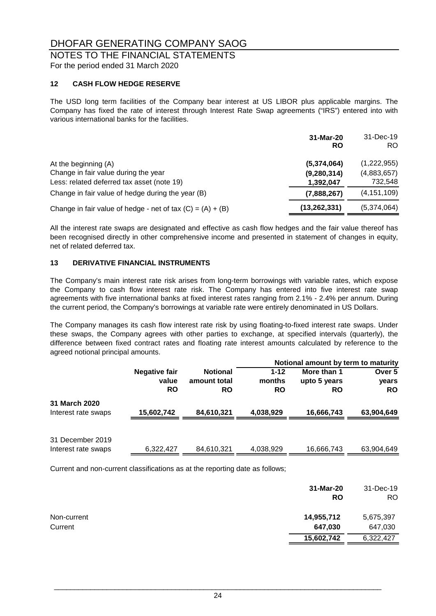# NOTES TO THE FINANCIAL STATEMENTS

For the period ended 31 March 2020

# **12 CASH FLOW HEDGE RESERVE**

The USD long term facilities of the Company bear interest at US LIBOR plus applicable margins. The Company has fixed the rate of interest through Interest Rate Swap agreements ("IRS") entered into with various international banks for the facilities.

|                                                                                                 | 31-Mar-20<br>RO              | 31-Dec-19<br>RO.                      |
|-------------------------------------------------------------------------------------------------|------------------------------|---------------------------------------|
| At the beginning (A)<br>Change in fair value during the year                                    | (5,374,064)<br>(9, 280, 314) | (1,222,955)<br>(4,883,657)<br>732,548 |
| Less: related deferred tax asset (note 19)<br>Change in fair value of hedge during the year (B) | 1,392,047<br>(7,888,267)     | (4, 151, 109)                         |
| Change in fair value of hedge - net of tax $(C) = (A) + (B)$                                    | (13, 262, 331)               | (5,374,064)                           |

All the interest rate swaps are designated and effective as cash flow hedges and the fair value thereof has been recognised directly in other comprehensive income and presented in statement of changes in equity, net of related deferred tax.

# **13 DERIVATIVE FINANCIAL INSTRUMENTS**

The Company's main interest rate risk arises from long-term borrowings with variable rates, which expose the Company to cash flow interest rate risk. The Company has entered into five interest rate swap agreements with five international banks at fixed interest rates ranging from 2.1% - 2.4% per annum. During the current period, the Company's borrowings at variable rate were entirely denominated in US Dollars.

The Company manages its cash flow interest rate risk by using floating-to-fixed interest rate swaps. Under these swaps, the Company agrees with other parties to exchange, at specified intervals (quarterly), the difference between fixed contract rates and floating rate interest amounts calculated by reference to the agreed notional principal amounts.

|                     |                      |                 |           | Notional amount by term to maturity |            |
|---------------------|----------------------|-----------------|-----------|-------------------------------------|------------|
|                     | <b>Negative fair</b> | <b>Notional</b> | $1 - 12$  | More than 1                         | Over 5     |
|                     | value                | amount total    | months    | upto 5 years                        | years      |
|                     | <b>RO</b>            | <b>RO</b>       | <b>RO</b> | RO                                  | <b>RO</b>  |
| 31 March 2020       |                      |                 |           |                                     |            |
| Interest rate swaps | 15,602,742           | 84,610,321      | 4,038,929 | 16,666,743                          | 63,904,649 |
|                     |                      |                 |           |                                     |            |
| 31 December 2019    |                      |                 |           |                                     |            |
| Interest rate swaps | 6,322,427            | 84,610,321      | 4,038,929 | 16,666,743                          | 63,904,649 |
|                     |                      |                 |           |                                     |            |

Current and non-current classifications as at the reporting date as follows;

|             | 31-Mar-20<br><b>RO</b> | 31-Dec-19<br><b>RO</b> |
|-------------|------------------------|------------------------|
| Non-current | 14,955,712             | 5,675,397              |
| Current     | 647,030                | 647,030                |
|             | 15,602,742             | 6,322,427              |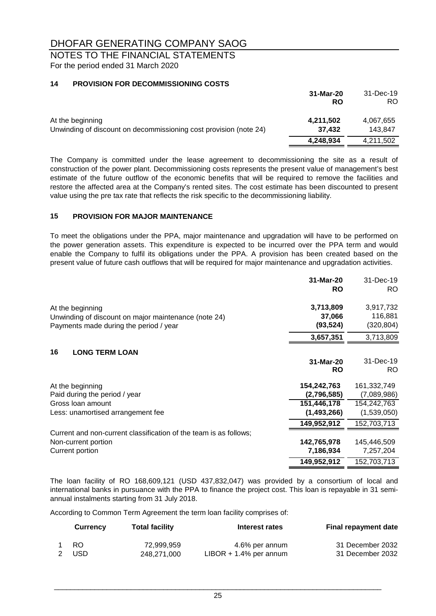# NOTES TO THE FINANCIAL STATEMENTS

For the period ended 31 March 2020

# **14 PROVISION FOR DECOMMISSIONING COSTS**

|                                                                   | 31-Mar-20<br>RO | 31-Dec-19<br>RO. |
|-------------------------------------------------------------------|-----------------|------------------|
| At the beginning                                                  | 4,211,502       | 4,067,655        |
| Unwinding of discount on decommissioning cost provision (note 24) | 37.432          | 143.847          |
|                                                                   | 4,248,934       | 4,211,502        |

The Company is committed under the lease agreement to decommissioning the site as a result of construction of the power plant. Decommissioning costs represents the present value of management's best estimate of the future outflow of the economic benefits that will be required to remove the facilities and restore the affected area at the Company's rented sites. The cost estimate has been discounted to present value using the pre tax rate that reflects the risk specific to the decommissioning liability.

# **15 PROVISION FOR MAJOR MAINTENANCE**

To meet the obligations under the PPA, major maintenance and upgradation will have to be performed on the power generation assets. This expenditure is expected to be incurred over the PPA term and would enable the Company to fulfil its obligations under the PPA. A provision has been created based on the present value of future cash outflows that will be required for major maintenance and upgradation activities.

|                                                                   | 31-Mar-20   | 31-Dec-19   |
|-------------------------------------------------------------------|-------------|-------------|
|                                                                   | <b>RO</b>   | RO.         |
| At the beginning                                                  | 3,713,809   | 3,917,732   |
| Unwinding of discount on major maintenance (note 24)              | 37,066      | 116,881     |
| Payments made during the period / year                            | (93, 524)   | (320, 804)  |
|                                                                   | 3,657,351   | 3,713,809   |
| 16<br><b>LONG TERM LOAN</b>                                       |             |             |
|                                                                   | 31-Mar-20   | 31-Dec-19   |
|                                                                   | <b>RO</b>   | RO.         |
| At the beginning                                                  | 154,242,763 | 161,332,749 |
| Paid during the period / year                                     | (2,796,585) | (7,089,986) |
| Gross Ioan amount                                                 | 151,446,178 | 154,242,763 |
| Less: unamortised arrangement fee                                 | (1,493,266) | (1,539,050) |
|                                                                   | 149,952,912 | 152,703,713 |
| Current and non-current classification of the team is as follows; |             |             |
| Non-current portion                                               | 142,765,978 | 145,446,509 |
| Current portion                                                   | 7,186,934   | 7,257,204   |
|                                                                   | 149,952,912 | 152,703,713 |

The loan facility of RO 168,609,121 (USD 437,832,047) was provided by a consortium of local and international banks in pursuance with the PPA to finance the project cost. This loan is repayable in 31 semiannual instalments starting from 31 July 2018.

According to Common Term Agreement the term loan facility comprises of:

| <b>Currency</b> | <b>Total facility</b> | Interest rates            | <b>Final repayment date</b> |
|-----------------|-----------------------|---------------------------|-----------------------------|
| - RO            | 72.999.959            | 4.6% per annum            | 31 December 2032            |
| <b>USD</b>      | 248.271.000           | $LIBOR + 1.4\%$ per annum | 31 December 2032            |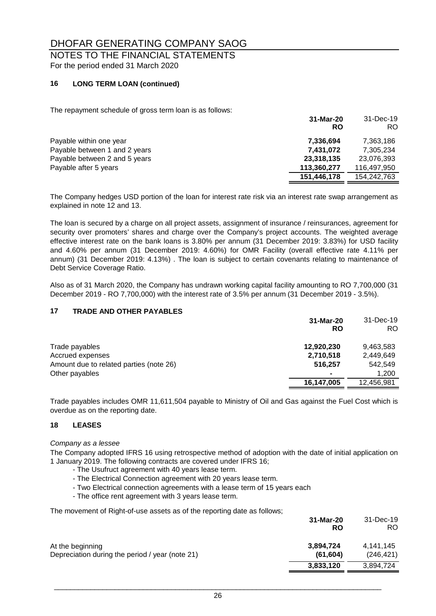# NOTES TO THE FINANCIAL STATEMENTS For the period ended 31 March 2020

# **16 LONG TERM LOAN (continued)**

The repayment schedule of gross term loan is as follows:

|                               | 31-Mar-20<br><b>RO</b> | 31-Dec-19<br>RO. |
|-------------------------------|------------------------|------------------|
| Payable within one year       | 7,336,694              | 7,363,186        |
| Payable between 1 and 2 years | 7,431,072              | 7,305,234        |
| Payable between 2 and 5 years | 23,318,135             | 23,076,393       |
| Payable after 5 years         | 113,360,277            | 116,497,950      |
|                               | 151,446,178            | 154,242,763      |

The Company hedges USD portion of the loan for interest rate risk via an interest rate swap arrangement as explained in note 12 and 13.

The loan is secured by a charge on all project assets, assignment of insurance / reinsurances, agreement for security over promoters' shares and charge over the Company's project accounts. The weighted average effective interest rate on the bank loans is 3.80% per annum (31 December 2019: 3.83%) for USD facility and 4.60% per annum (31 December 2019: 4.60%) for OMR Facility (overall effective rate 4.11% per annum) (31 December 2019: 4.13%) . The loan is subject to certain covenants relating to maintenance of Debt Service Coverage Ratio.

Also as of 31 March 2020, the Company has undrawn working capital facility amounting to RO 7,700,000 (31 December 2019 - RO 7,700,000) with the interest rate of 3.5% per annum (31 December 2019 - 3.5%).

# **17 TRADE AND OTHER PAYABLES**

|                                         | 31-Mar-20<br>RO | 31-Dec-19<br>RO. |
|-----------------------------------------|-----------------|------------------|
| Trade payables                          | 12,920,230      | 9,463,583        |
| Accrued expenses                        | 2,710,518       | 2,449,649        |
| Amount due to related parties (note 26) | 516,257         | 542.549          |
| Other payables                          | $\blacksquare$  | 1.200            |
|                                         | 16,147,005      | 12,456,981       |

Trade payables includes OMR 11,611,504 payable to Ministry of Oil and Gas against the Fuel Cost which is overdue as on the reporting date.

# **18 LEASES**

# *Company as a lessee*

The Company adopted IFRS 16 using retrospective method of adoption with the date of initial application on 1 January 2019. The following contracts are covered under IFRS 16;

- The Usufruct agreement with 40 years lease term.
- The Electrical Connection agreement with 20 years lease term.
- Two Electrical connection agreements with a lease term of 15 years each
- The office rent agreement with 3 years lease term.

The movement of Right-of-use assets as of the reporting date as follows;

| 31-Mar-20 | 31-Dec-19  |
|-----------|------------|
| <b>RO</b> | RO.        |
| 3,894,724 | 4.141.145  |
| (61, 604) | (246, 421) |
| 3,833,120 | 3,894,724  |
|           |            |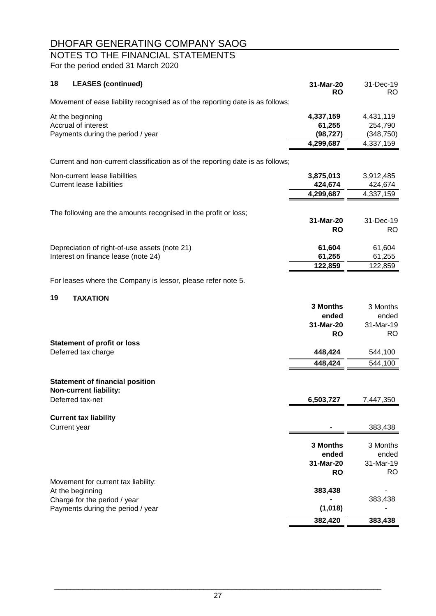# NOTES TO THE FINANCIAL STATEMENTS

For the period ended 31 March 2020

| 18<br><b>LEASES (continued)</b>                                                                                              | 31-Mar-20<br><b>RO</b>                        | 31-Dec-19<br>RO.                                |
|------------------------------------------------------------------------------------------------------------------------------|-----------------------------------------------|-------------------------------------------------|
| Movement of ease liability recognised as of the reporting date is as follows;                                                |                                               |                                                 |
| At the beginning<br>Accrual of interest<br>Payments during the period / year                                                 | 4,337,159<br>61,255<br>(98, 727)<br>4,299,687 | 4,431,119<br>254,790<br>(348, 750)<br>4,337,159 |
| Current and non-current classification as of the reporting date is as follows;                                               |                                               |                                                 |
| Non-current lease liabilities<br><b>Current lease liabilities</b>                                                            | 3,875,013<br>424,674<br>4,299,687             | 3,912,485<br>424,674<br>4,337,159               |
| The following are the amounts recognised in the profit or loss;                                                              | 31-Mar-20<br><b>RO</b>                        | 31-Dec-19<br><b>RO</b>                          |
| Depreciation of right-of-use assets (note 21)<br>Interest on finance lease (note 24)                                         | 61,604<br>61,255<br>122,859                   | 61,604<br>61,255<br>122,859                     |
| For leases where the Company is lessor, please refer note 5.                                                                 |                                               |                                                 |
| <b>TAXATION</b><br>19                                                                                                        |                                               |                                                 |
|                                                                                                                              | 3 Months<br>ended<br>31-Mar-20<br><b>RO</b>   | 3 Months<br>ended<br>31-Mar-19<br>RO            |
| <b>Statement of profit or loss</b>                                                                                           |                                               |                                                 |
| Deferred tax charge                                                                                                          | 448,424<br>448,424                            | 544,100<br>544,100                              |
| <b>Statement of financial position</b><br><b>Non-current liability:</b>                                                      |                                               |                                                 |
| Deferred tax-net                                                                                                             | 6,503,727                                     | 7,447,350                                       |
| <b>Current tax liability</b><br>Current year                                                                                 |                                               | 383,438                                         |
|                                                                                                                              | 3 Months<br>ended<br>31-Mar-20<br><b>RO</b>   | 3 Months<br>ended<br>31-Mar-19<br>RO.           |
| Movement for current tax liability:<br>At the beginning<br>Charge for the period / year<br>Payments during the period / year | 383,438<br>(1,018)                            | 383,438                                         |
|                                                                                                                              | 382,420                                       | 383,438                                         |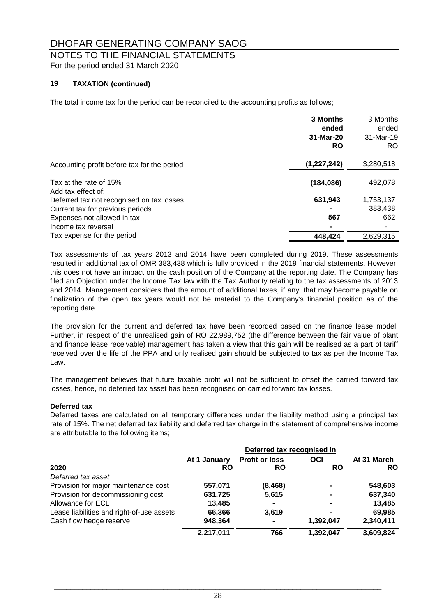# NOTES TO THE FINANCIAL STATEMENTS

For the period ended 31 March 2020

# **19 TAXATION (continued)**

The total income tax for the period can be reconciled to the accounting profits as follows;

|                                              | 3 Months<br>ended<br>31-Mar-20<br><b>RO</b> | 3 Months<br>ended<br>31-Mar-19<br>RO. |
|----------------------------------------------|---------------------------------------------|---------------------------------------|
| Accounting profit before tax for the period  | (1,227,242)                                 | 3,280,518                             |
| Tax at the rate of 15%<br>Add tax effect of: | (184, 086)                                  | 492,078                               |
| Deferred tax not recognised on tax losses    | 631,943                                     | 1,753,137                             |
| Current tax for previous periods             |                                             | 383,438                               |
| Expenses not allowed in tax                  | 567                                         | 662                                   |
| Income tax reversal                          |                                             |                                       |
| Tax expense for the period                   | 448,424                                     | 2,629,315                             |

Tax assessments of tax years 2013 and 2014 have been completed during 2019. These assessments resulted in additional tax of OMR 383,438 which is fully provided in the 2019 financial statements. However, this does not have an impact on the cash position of the Company at the reporting date. The Company has filed an Objection under the Income Tax law with the Tax Authority relating to the tax assessments of 2013 and 2014. Management considers that the amount of additional taxes, if any, that may become payable on finalization of the open tax years would not be material to the Company's financial position as of the reporting date.

The provision for the current and deferred tax have been recorded based on the finance lease model. Further, in respect of the unrealised gain of RO 22,989,752 (the difference between the fair value of plant and finance lease receivable) management has taken a view that this gain will be realised as a part of tariff received over the life of the PPA and only realised gain should be subjected to tax as per the Income Tax Law.

The management believes that future taxable profit will not be sufficient to offset the carried forward tax losses, hence, no deferred tax asset has been recognised on carried forward tax losses.

# **Deferred tax**

Deferred taxes are calculated on all temporary differences under the liability method using a principal tax rate of 15%. The net deferred tax liability and deferred tax charge in the statement of comprehensive income are attributable to the following items;

|                                           | Deferred tax recognised in |                       |                |             |
|-------------------------------------------|----------------------------|-----------------------|----------------|-------------|
|                                           | At 1 January               | <b>Profit or loss</b> | <b>OCI</b>     | At 31 March |
| 2020                                      | <b>RO</b>                  | <b>RO</b>             | <b>RO</b>      | <b>RO</b>   |
| Deferred tax asset                        |                            |                       |                |             |
| Provision for major maintenance cost      | 557,071                    | (8, 468)              | $\blacksquare$ | 548,603     |
| Provision for decommissioning cost        | 631,725                    | 5,615                 | $\blacksquare$ | 637,340     |
| Allowance for ECL                         | 13,485                     |                       | $\blacksquare$ | 13,485      |
| Lease liabilities and right-of-use assets | 66,366                     | 3,619                 |                | 69,985      |
| Cash flow hedge reserve                   | 948,364                    |                       | 1,392,047      | 2,340,411   |
|                                           | 2,217,011                  | 766                   | 1,392,047      | 3,609,824   |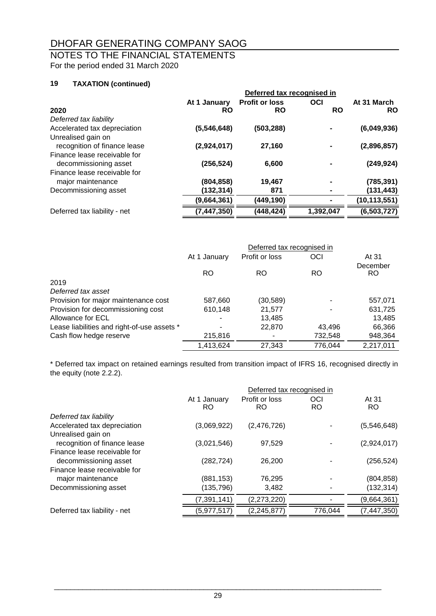# NOTES TO THE FINANCIAL STATEMENTS

For the period ended 31 March 2020

# **19 TAXATION (continued)**

| Deferred tax recognised in |                       |            |                |
|----------------------------|-----------------------|------------|----------------|
| At 1 January               | <b>Profit or loss</b> | <b>OCI</b> | At 31 March    |
| <b>RO</b>                  | <b>RO</b>             |            | <b>RO</b>      |
|                            |                       |            |                |
| (5,546,648)                | (503, 288)            |            | (6,049,936)    |
|                            |                       |            |                |
| (2,924,017)                | 27,160                |            | (2,896,857)    |
|                            |                       |            |                |
| (256,524)                  | 6,600                 |            | (249, 924)     |
|                            |                       |            |                |
| (804, 858)                 | 19,467                |            | (785, 391)     |
| (132,314)                  | 871                   |            | (131, 443)     |
| (9,664,361)                | (449,190)             |            | (10, 113, 551) |
| (7, 447, 350)              | (448, 424)            | 1,392,047  | (6,503,727)    |
|                            |                       |            | <b>RO</b>      |

|                                             | Deferred tax recognised in |                |         |                       |
|---------------------------------------------|----------------------------|----------------|---------|-----------------------|
|                                             | At 1 January               | Profit or loss | OCI     | At 31                 |
|                                             | RO                         | <b>RO</b>      | RO      | December<br><b>RO</b> |
| 2019                                        |                            |                |         |                       |
| Deferred tax asset                          |                            |                |         |                       |
| Provision for major maintenance cost        | 587,660                    | (30, 589)      |         | 557,071               |
| Provision for decommissioning cost          | 610,148                    | 21,577         |         | 631,725               |
| Allowance for ECL                           |                            | 13,485         |         | 13,485                |
| Lease liabilities and right-of-use assets * |                            | 22,870         | 43,496  | 66,366                |
| Cash flow hedge reserve                     | 215,816                    |                | 732,548 | 948,364               |
|                                             | 1,413,624                  | 27.343         | 776,044 | 2,217,011             |

\* Deferred tax impact on retained earnings resulted from transition impact of IFRS 16, recognised directly in the equity (note 2.2.2).

|                              |               |                | Deferred tax recognised in |               |
|------------------------------|---------------|----------------|----------------------------|---------------|
|                              | At 1 January  | Profit or loss | OCI                        | At 31         |
|                              | RO.           | RO.            | RO.                        | RO.           |
| Deferred tax liability       |               |                |                            |               |
| Accelerated tax depreciation | (3,069,922)   | (2,476,726)    |                            | (5,546,648)   |
| Unrealised gain on           |               |                |                            |               |
| recognition of finance lease | (3,021,546)   | 97.529         |                            | (2,924,017)   |
| Finance lease receivable for |               |                |                            |               |
| decommissioning asset        | (282, 724)    | 26,200         |                            | (256, 524)    |
| Finance lease receivable for |               |                |                            |               |
| major maintenance            | (881, 153)    | 76,295         |                            | (804, 858)    |
| Decommissioning asset        | (135,796)     | 3,482          |                            | (132, 314)    |
|                              | (7, 391, 141) | (2, 273, 220)  |                            | (9,664,361)   |
| Deferred tax liability - net | (5,977,517)   | (2, 245, 877)  | 776,044                    | (7, 447, 350) |
|                              |               |                |                            |               |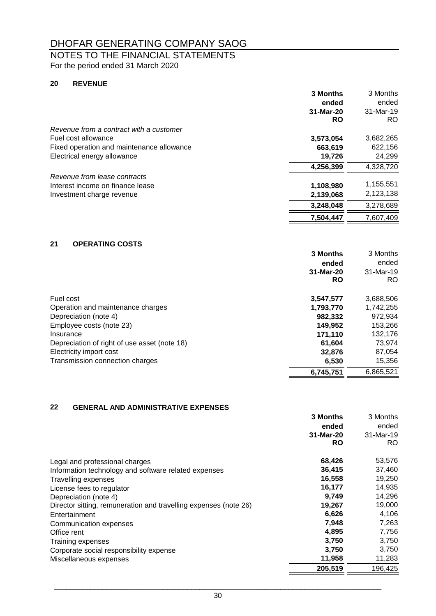# NOTES TO THE FINANCIAL STATEMENTS

For the period ended 31 March 2020

# **20 REVENUE**

|                                           | 3 Months  | 3 Months  |
|-------------------------------------------|-----------|-----------|
|                                           | ended     | ended     |
|                                           | 31-Mar-20 | 31-Mar-19 |
|                                           | <b>RO</b> | RO.       |
| Revenue from a contract with a customer   |           |           |
| Fuel cost allowance                       | 3,573,054 | 3,682,265 |
| Fixed operation and maintenance allowance | 663.619   | 622,156   |
| Electrical energy allowance               | 19,726    | 24,299    |
|                                           | 4,256,399 | 4,328,720 |
| Revenue from lease contracts              |           |           |
| Interest income on finance lease          | 1,108,980 | 1,155,551 |
| Investment charge revenue                 | 2,139,068 | 2,123,138 |
|                                           | 3,248,048 | 3,278,689 |
|                                           | 7,504,447 | 7.607.409 |

# **21 OPERATING COSTS**

|                                              | 3 Months  | 3 Months  |
|----------------------------------------------|-----------|-----------|
|                                              | ended     | ended     |
|                                              | 31-Mar-20 | 31-Mar-19 |
|                                              | <b>RO</b> | RO.       |
| Fuel cost                                    | 3,547,577 | 3,688,506 |
| Operation and maintenance charges            | 1,793,770 | 1,742,255 |
| Depreciation (note 4)                        | 982.332   | 972,934   |
| Employee costs (note 23)                     | 149.952   | 153,266   |
| Insurance                                    | 171,110   | 132,176   |
| Depreciation of right of use asset (note 18) | 61.604    | 73.974    |
| Electricity import cost                      | 32,876    | 87,054    |
| Transmission connection charges              | 6,530     | 15,356    |
|                                              | 6,745,751 | 6,865,521 |

# **22 GENERAL AND ADMINISTRATIVE EXPENSES**

|                                                                  | 3 Months<br>ended<br>31-Mar-20<br><b>RO</b> | 3 Months<br>ended<br>31-Mar-19<br>RO. |
|------------------------------------------------------------------|---------------------------------------------|---------------------------------------|
| Legal and professional charges                                   | 68,426                                      | 53,576                                |
| Information technology and software related expenses             | 36,415                                      | 37,460                                |
| <b>Travelling expenses</b>                                       | 16,558                                      | 19,250                                |
| License fees to regulator                                        | 16,177                                      | 14,935                                |
| Depreciation (note 4)                                            | 9,749                                       | 14,296                                |
| Director sitting, remuneration and travelling expenses (note 26) | 19,267                                      | 19,000                                |
| Entertainment                                                    | 6,626                                       | 4,106                                 |
| Communication expenses                                           | 7,948                                       | 7,263                                 |
| Office rent                                                      | 4,895                                       | 7,756                                 |
| Training expenses                                                | 3,750                                       | 3,750                                 |
| Corporate social responsibility expense                          | 3,750                                       | 3,750                                 |
| Miscellaneous expenses                                           | 11,958                                      | 11,283                                |
|                                                                  | 205,519                                     | 196,425                               |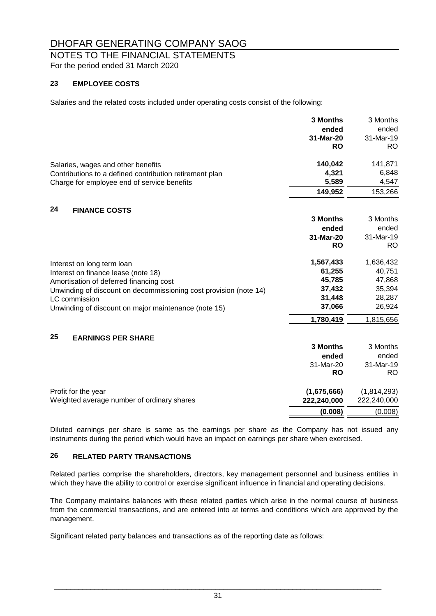# NOTES TO THE FINANCIAL STATEMENTS

For the period ended 31 March 2020

# **23 EMPLOYEE COSTS**

Salaries and the related costs included under operating costs consist of the following:

|                                                                   | 3 Months    | 3 Months    |
|-------------------------------------------------------------------|-------------|-------------|
|                                                                   | ended       | ended       |
|                                                                   | 31-Mar-20   | 31-Mar-19   |
|                                                                   | <b>RO</b>   | <b>RO</b>   |
| Salaries, wages and other benefits                                | 140,042     | 141,871     |
| Contributions to a defined contribution retirement plan           | 4,321       | 6,848       |
| Charge for employee end of service benefits                       | 5,589       | 4,547       |
|                                                                   | 149,952     | 153,266     |
| 24<br><b>FINANCE COSTS</b>                                        |             |             |
|                                                                   | 3 Months    | 3 Months    |
|                                                                   | ended       | ended       |
|                                                                   | 31-Mar-20   | 31-Mar-19   |
|                                                                   | <b>RO</b>   | RO.         |
| Interest on long term loan                                        | 1,567,433   | 1,636,432   |
| Interest on finance lease (note 18)                               | 61,255      | 40,751      |
| Amortisation of deferred financing cost                           | 45,785      | 47,868      |
| Unwinding of discount on decommissioning cost provision (note 14) | 37,432      | 35,394      |
| LC commission                                                     | 31,448      | 28,287      |
| Unwinding of discount on major maintenance (note 15)              | 37,066      | 26,924      |
|                                                                   | 1,780,419   | 1,815,656   |
| 25<br><b>EARNINGS PER SHARE</b>                                   |             |             |
|                                                                   | 3 Months    | 3 Months    |
|                                                                   | ended       | ended       |
|                                                                   | 31-Mar-20   | 31-Mar-19   |
|                                                                   | <b>RO</b>   | <b>RO</b>   |
| Profit for the year                                               | (1,675,666) | (1,814,293) |
| Weighted average number of ordinary shares                        | 222,240,000 | 222,240,000 |
|                                                                   | (0.008)     | (0.008)     |

Diluted earnings per share is same as the earnings per share as the Company has not issued any instruments during the period which would have an impact on earnings per share when exercised.

#### **26 RELATED PARTY TRANSACTIONS**

Related parties comprise the shareholders, directors, key management personnel and business entities in which they have the ability to control or exercise significant influence in financial and operating decisions.

The Company maintains balances with these related parties which arise in the normal course of business from the commercial transactions, and are entered into at terms and conditions which are approved by the management.

Significant related party balances and transactions as of the reporting date as follows: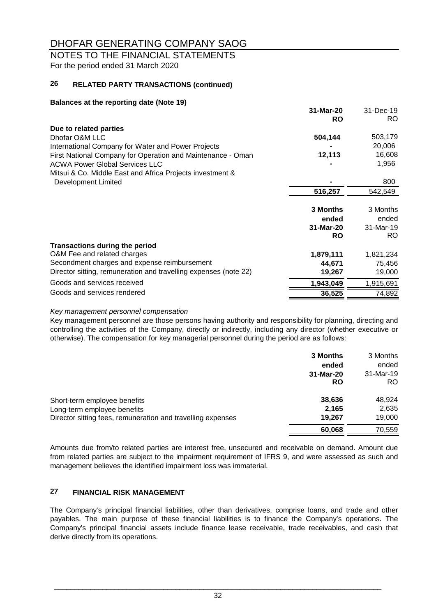# NOTES TO THE FINANCIAL STATEMENTS

For the period ended 31 March 2020

#### **26 RELATED PARTY TRANSACTIONS (continued)**

# **Balances at the reporting date (Note 19)**

| <b>RO</b><br>Due to related parties<br>504,144<br>Dhofar O&M LLC<br>International Company for Water and Power Projects<br>12,113<br>First National Company for Operation and Maintenance - Oman<br><b>ACWA Power Global Services LLC</b><br>Mitsui & Co. Middle East and Africa Projects investment &<br>Development Limited<br>516,257<br>3 Months<br>ended<br>31-Mar-20 | RO.<br>503,179<br>20,006<br>16,608<br>1,956 |
|---------------------------------------------------------------------------------------------------------------------------------------------------------------------------------------------------------------------------------------------------------------------------------------------------------------------------------------------------------------------------|---------------------------------------------|
|                                                                                                                                                                                                                                                                                                                                                                           |                                             |
|                                                                                                                                                                                                                                                                                                                                                                           |                                             |
|                                                                                                                                                                                                                                                                                                                                                                           |                                             |
|                                                                                                                                                                                                                                                                                                                                                                           |                                             |
|                                                                                                                                                                                                                                                                                                                                                                           |                                             |
|                                                                                                                                                                                                                                                                                                                                                                           |                                             |
|                                                                                                                                                                                                                                                                                                                                                                           | 800                                         |
|                                                                                                                                                                                                                                                                                                                                                                           | 542,549                                     |
|                                                                                                                                                                                                                                                                                                                                                                           |                                             |
|                                                                                                                                                                                                                                                                                                                                                                           | 3 Months                                    |
|                                                                                                                                                                                                                                                                                                                                                                           | ended                                       |
|                                                                                                                                                                                                                                                                                                                                                                           | 31-Mar-19                                   |
| <b>RO</b>                                                                                                                                                                                                                                                                                                                                                                 | RO.                                         |
| <b>Transactions during the period</b>                                                                                                                                                                                                                                                                                                                                     |                                             |
| O&M Fee and related charges<br>1,879,111                                                                                                                                                                                                                                                                                                                                  | 1,821,234                                   |
| Secondment charges and expense reimbursement<br>44,671                                                                                                                                                                                                                                                                                                                    | 75,456                                      |
| Director sitting, remuneration and travelling expenses (note 22)<br>19,267                                                                                                                                                                                                                                                                                                | 19,000                                      |
| Goods and services received<br>1,943,049                                                                                                                                                                                                                                                                                                                                  | 1,915,691                                   |
| Goods and services rendered<br>36,525                                                                                                                                                                                                                                                                                                                                     |                                             |

# *Key management personnel compensation*

Key management personnel are those persons having authority and responsibility for planning, directing and controlling the activities of the Company, directly or indirectly, including any director (whether executive or otherwise). The compensation for key managerial personnel during the period are as follows:

|                                                                                                                            | 3 Months<br>ended<br>31-Mar-20<br>RO | 3 Months<br>ended<br>31-Mar-19<br>RO. |
|----------------------------------------------------------------------------------------------------------------------------|--------------------------------------|---------------------------------------|
| Short-term employee benefits<br>Long-term employee benefits<br>Director sitting fees, remuneration and travelling expenses | 38,636<br>2.165<br>19,267            | 48,924<br>2,635<br>19,000             |
|                                                                                                                            | 60,068                               | 70,559                                |

Amounts due from/to related parties are interest free, unsecured and receivable on demand. Amount due from related parties are subject to the impairment requirement of IFRS 9, and were assessed as such and management believes the identified impairment loss was immaterial.

#### **27 FINANCIAL RISK MANAGEMENT**

The Company's principal financial liabilities, other than derivatives, comprise loans, and trade and other payables. The main purpose of these financial liabilities is to finance the Company's operations. The Company's principal financial assets include finance lease receivable, trade receivables, and cash that derive directly from its operations.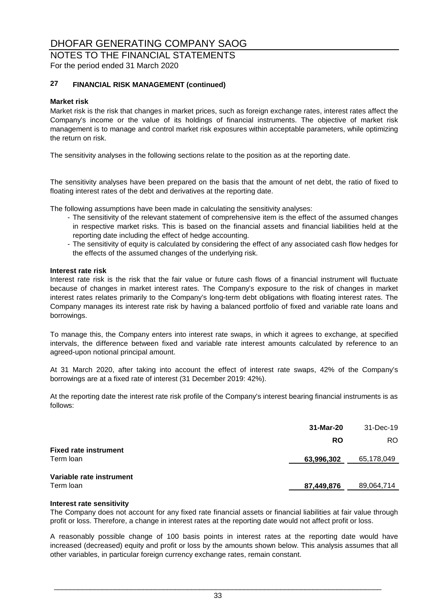# NOTES TO THE FINANCIAL STATEMENTS

For the period ended 31 March 2020

#### **27 FINANCIAL RISK MANAGEMENT (continued)**

# **Market risk**

Market risk is the risk that changes in market prices, such as foreign exchange rates, interest rates affect the Company's income or the value of its holdings of financial instruments. The objective of market risk management is to manage and control market risk exposures within acceptable parameters, while optimizing the return on risk.

The sensitivity analyses in the following sections relate to the position as at the reporting date.

The sensitivity analyses have been prepared on the basis that the amount of net debt, the ratio of fixed to floating interest rates of the debt and derivatives at the reporting date.

The following assumptions have been made in calculating the sensitivity analyses:

- The sensitivity of the relevant statement of comprehensive item is the effect of the assumed changes in respective market risks. This is based on the financial assets and financial liabilities held at the reporting date including the effect of hedge accounting.
- The sensitivity of equity is calculated by considering the effect of any associated cash flow hedges for the effects of the assumed changes of the underlying risk.

# **Interest rate risk**

Interest rate risk is the risk that the fair value or future cash flows of a financial instrument will fluctuate because of changes in market interest rates. The Company's exposure to the risk of changes in market interest rates relates primarily to the Company's long-term debt obligations with floating interest rates. The Company manages its interest rate risk by having a balanced portfolio of fixed and variable rate loans and borrowings.

To manage this, the Company enters into interest rate swaps, in which it agrees to exchange, at specified intervals, the difference between fixed and variable rate interest amounts calculated by reference to an agreed-upon notional principal amount.

At 31 March 2020, after taking into account the effect of interest rate swaps, 42% of the Company's borrowings are at a fixed rate of interest (31 December 2019: 42%).

At the reporting date the interest rate risk profile of the Company's interest bearing financial instruments is as follows:

|                                           | 31-Mar-20  | 31-Dec-19  |
|-------------------------------------------|------------|------------|
|                                           | <b>RO</b>  | RO.        |
| <b>Fixed rate instrument</b><br>Term loan | 63,996,302 | 65,178,049 |
| Variable rate instrument<br>Term Ioan     | 87,449,876 | 89,064,714 |

# **Interest rate sensitivity**

The Company does not account for any fixed rate financial assets or financial liabilities at fair value through profit or loss. Therefore, a change in interest rates at the reporting date would not affect profit or loss.

A reasonably possible change of 100 basis points in interest rates at the reporting date would have increased (decreased) equity and profit or loss by the amounts shown below. This analysis assumes that all other variables, in particular foreign currency exchange rates, remain constant.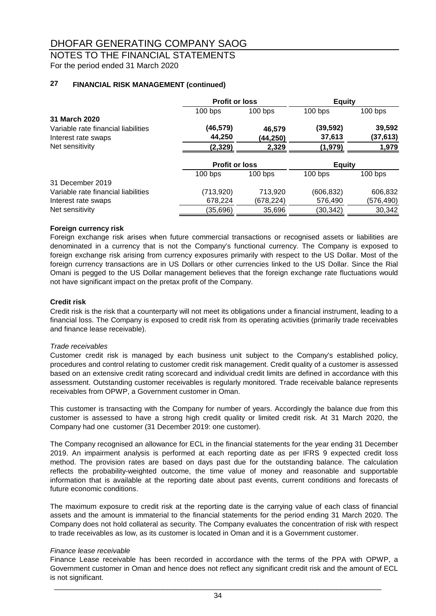# NOTES TO THE FINANCIAL STATEMENTS

For the period ended 31 March 2020

#### **27 FINANCIAL RISK MANAGEMENT (continued)**

|                                     | <b>Profit or loss</b> |           | <b>Equity</b> |           |
|-------------------------------------|-----------------------|-----------|---------------|-----------|
|                                     | $100$ bps             | $100$ bps | $100$ bps     | $100$ bps |
| 31 March 2020                       |                       |           |               |           |
| Variable rate financial liabilities | (46,579)              | 46,579    | (39, 592)     | 39,592    |
| Interest rate swaps                 | 44,250                | (44,250)  | 37,613        | (37,613)  |
| Net sensitivity                     | (2, 329)              | 2,329     | (1, 979)      | 1,979     |
|                                     | <b>Profit or loss</b> |           | <b>Equity</b> |           |
|                                     | $100$ bps             | $100$ bps | $100$ bps     | $100$ bps |
| 31 December 2019                    |                       |           |               |           |
| Variable rate financial liabilities | (713,920)             | 713,920   | (606, 832)    | 606,832   |
| Interest rate swaps                 | 678,224               | (678,224) | 576,490       | (576,490) |
| Net sensitivity                     | (35,696)              | 35,696    | (30,342)      | 30,342    |

# **Foreign currency risk**

Foreign exchange risk arises when future commercial transactions or recognised assets or liabilities are denominated in a currency that is not the Company's functional currency. The Company is exposed to foreign exchange risk arising from currency exposures primarily with respect to the US Dollar. Most of the foreign currency transactions are in US Dollars or other currencies linked to the US Dollar. Since the Rial Omani is pegged to the US Dollar management believes that the foreign exchange rate fluctuations would not have significant impact on the pretax profit of the Company.

# **Credit risk**

Credit risk is the risk that a counterparty will not meet its obligations under a financial instrument, leading to a financial loss. The Company is exposed to credit risk from its operating activities (primarily trade receivables and finance lease receivable).

# *Trade receivables*

Customer credit risk is managed by each business unit subject to the Company's established policy, procedures and control relating to customer credit risk management. Credit quality of a customer is assessed based on an extensive credit rating scorecard and individual credit limits are defined in accordance with this assessment. Outstanding customer receivables is regularly monitored. Trade receivable balance represents receivables from OPWP, a Government customer in Oman.

This customer is transacting with the Company for number of years. Accordingly the balance due from this customer is assessed to have a strong high credit quality or limited credit risk. At 31 March 2020, the Company had one customer (31 December 2019: one customer).

The Company recognised an allowance for ECL in the financial statements for the year ending 31 December 2019. An impairment analysis is performed at each reporting date as per IFRS 9 expected credit loss method. The provision rates are based on days past due for the outstanding balance. The calculation reflects the probability-weighted outcome, the time value of money and reasonable and supportable information that is available at the reporting date about past events, current conditions and forecasts of future economic conditions.

The maximum exposure to credit risk at the reporting date is the carrying value of each class of financial assets and the amount is immaterial to the financial statements for the period ending 31 March 2020. The Company does not hold collateral as security. The Company evaluates the concentration of risk with respect to trade receivables as low, as its customer is located in Oman and it is a Government customer.

# *Finance lease receivable*

Finance Lease receivable has been recorded in accordance with the terms of the PPA with OPWP, a Government customer in Oman and hence does not reflect any significant credit risk and the amount of ECL is not significant.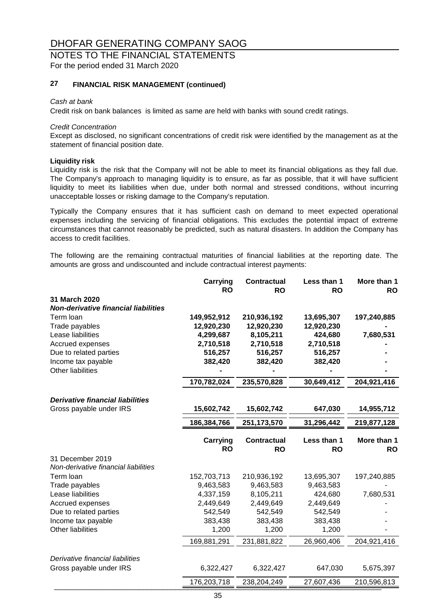# NOTES TO THE FINANCIAL STATEMENTS

For the period ended 31 March 2020

#### **27 FINANCIAL RISK MANAGEMENT (continued)**

# *Cash at bank*

Credit risk on bank balances is limited as same are held with banks with sound credit ratings.

#### *Credit Concentration*

Except as disclosed, no significant concentrations of credit risk were identified by the management as at the statement of financial position date.

# **Liquidity risk**

Liquidity risk is the risk that the Company will not be able to meet its financial obligations as they fall due. The Company's approach to managing liquidity is to ensure, as far as possible, that it will have sufficient liquidity to meet its liabilities when due, under both normal and stressed conditions, without incurring unacceptable losses or risking damage to the Company's reputation.

Typically the Company ensures that it has sufficient cash on demand to meet expected operational expenses including the servicing of financial obligations. This excludes the potential impact of extreme circumstances that cannot reasonably be predicted, such as natural disasters. In addition the Company has access to credit facilities.

The following are the remaining contractual maturities of financial liabilities at the reporting date. The amounts are gross and undiscounted and include contractual interest payments:

|                                                          | Carrying<br><b>RO</b> | <b>Contractual</b><br><b>RO</b> | Less than 1<br><b>RO</b> | More than 1<br><b>RO</b> |
|----------------------------------------------------------|-----------------------|---------------------------------|--------------------------|--------------------------|
| 31 March 2020                                            |                       |                                 |                          |                          |
| <b>Non-derivative financial liabilities</b>              |                       |                                 |                          |                          |
| Term loan                                                | 149,952,912           | 210,936,192                     | 13,695,307               | 197,240,885              |
| Trade payables                                           | 12,920,230            | 12,920,230                      | 12,920,230               |                          |
| Lease liabilities                                        | 4,299,687             | 8,105,211                       | 424,680                  | 7,680,531                |
| Accrued expenses                                         | 2,710,518             | 2,710,518                       | 2,710,518                |                          |
| Due to related parties                                   | 516,257               | 516,257                         | 516,257                  |                          |
| Income tax payable                                       | 382,420               | 382,420                         | 382,420                  |                          |
| <b>Other liabilities</b>                                 |                       |                                 |                          |                          |
|                                                          | 170,782,024           | 235,570,828                     | 30,649,412               | 204,921,416              |
| <b>Derivative financial liabilities</b>                  |                       |                                 |                          |                          |
| Gross payable under IRS                                  | 15,602,742            | 15,602,742                      | 647,030                  | 14,955,712               |
|                                                          | 186,384,766           | 251,173,570                     | 31,296,442               | 219,877,128              |
|                                                          | Carrying              | <b>Contractual</b>              | Less than 1              | More than 1              |
|                                                          | <b>RO</b>             | <b>RO</b>                       | <b>RO</b>                | <b>RO</b>                |
| 31 December 2019<br>Non-derivative financial liabilities |                       |                                 |                          |                          |
| Term loan                                                | 152,703,713           | 210,936,192                     | 13,695,307               | 197,240,885              |
| Trade payables                                           | 9,463,583             | 9,463,583                       | 9,463,583                |                          |
| Lease liabilities                                        | 4,337,159             | 8,105,211                       | 424,680                  | 7,680,531                |
| Accrued expenses                                         | 2,449,649             | 2,449,649                       | 2,449,649                |                          |
| Due to related parties                                   | 542,549               | 542,549                         | 542,549                  |                          |
| Income tax payable                                       | 383,438               | 383,438                         | 383,438                  |                          |
| <b>Other liabilities</b>                                 | 1,200                 | 1,200                           | 1,200                    |                          |
|                                                          | 169,881,291           | 231,881,822                     | 26,960,406               | 204,921,416              |
| Derivative financial liabilities                         |                       |                                 |                          |                          |
|                                                          |                       |                                 |                          |                          |
| Gross payable under IRS                                  | 6,322,427             | 6,322,427                       | 647,030                  | 5,675,397                |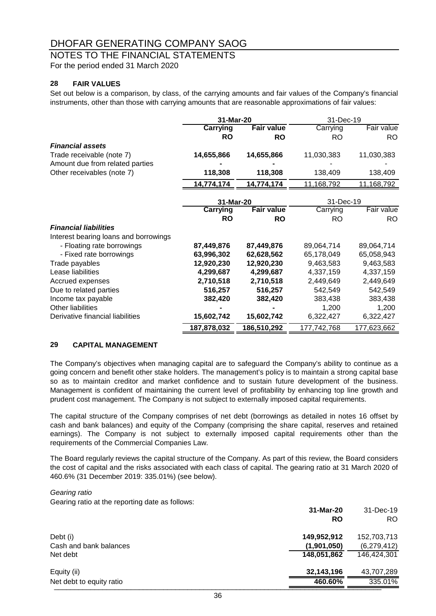# NOTES TO THE FINANCIAL STATEMENTS

For the period ended 31 March 2020

# **28 FAIR VALUES**

Set out below is a comparison, by class, of the carrying amounts and fair values of the Company's financial instruments, other than those with carrying amounts that are reasonable approximations of fair values:

|                                       | 31-Mar-20       |                   | 31-Dec-19   |             |
|---------------------------------------|-----------------|-------------------|-------------|-------------|
|                                       | Carrying        | <b>Fair value</b> | Carrying    | Fair value  |
|                                       | <b>RO</b>       | <b>RO</b>         | RO          | RO.         |
| <b>Financial assets</b>               |                 |                   |             |             |
| Trade receivable (note 7)             | 14,655,866      | 14,655,866        | 11,030,383  | 11,030,383  |
| Amount due from related parties       |                 |                   |             |             |
| Other receivables (note 7)            | 118,308         | 118,308           | 138,409     | 138,409     |
|                                       | 14,774,174      | 14,774,174        | 11,168,792  | 11,168,792  |
|                                       |                 |                   |             |             |
|                                       | 31-Mar-20       |                   | 31-Dec-19   |             |
|                                       | <b>Carrying</b> | <b>Fair value</b> | Carrying    | Fair value  |
|                                       | <b>RO</b>       | RO                | <b>RO</b>   | RO.         |
| <b>Financial liabilities</b>          |                 |                   |             |             |
| Interest bearing loans and borrowings |                 |                   |             |             |
| - Floating rate borrowings            | 87,449,876      | 87,449,876        | 89,064,714  | 89,064,714  |
| - Fixed rate borrowings               | 63,996,302      | 62,628,562        | 65,178,049  | 65,058,943  |
| Trade payables                        | 12,920,230      | 12,920,230        | 9,463,583   | 9,463,583   |
| Lease liabilities                     | 4,299,687       | 4,299,687         | 4,337,159   | 4,337,159   |
| Accrued expenses                      | 2,710,518       | 2,710,518         | 2,449,649   | 2,449,649   |
| Due to related parties                | 516,257         | 516,257           | 542,549     | 542,549     |
| Income tax payable                    | 382,420         | 382,420           | 383,438     | 383,438     |
| <b>Other liabilities</b>              |                 |                   | 1,200       | 1,200       |
| Derivative financial liabilities      | 15,602,742      | 15,602,742        | 6,322,427   | 6,322,427   |
|                                       | 187,878,032     | 186,510,292       | 177,742,768 | 177,623,662 |

# **29 CAPITAL MANAGEMENT**

The Company's objectives when managing capital are to safeguard the Company's ability to continue as a going concern and benefit other stake holders. The management's policy is to maintain a strong capital base so as to maintain creditor and market confidence and to sustain future development of the business. Management is confident of maintaining the current level of profitability by enhancing top line growth and prudent cost management. The Company is not subject to externally imposed capital requirements.

The capital structure of the Company comprises of net debt (borrowings as detailed in notes 16 offset by cash and bank balances) and equity of the Company (comprising the share capital, reserves and retained earnings). The Company is not subject to externally imposed capital requirements other than the requirements of the Commercial Companies Law.

The Board regularly reviews the capital structure of the Company. As part of this review, the Board considers the cost of capital and the risks associated with each class of capital. The gearing ratio at 31 March 2020 of 460.6% (31 December 2019: 335.01%) (see below).

*Gearing ratio*

Gearing ratio at the reporting date as follows:

|                          | 31-Mar-20   | 31-Dec-19   |
|--------------------------|-------------|-------------|
|                          | <b>RO</b>   | RO.         |
| Debt (i)                 | 149,952,912 | 152,703,713 |
| Cash and bank balances   | (1,901,050) | (6,279,412) |
| Net debt                 | 148,051,862 | 146.424.301 |
| Equity (ii)              | 32,143,196  | 43,707,289  |
| Net debt to equity ratio | 460.60%     | 335.01%     |
|                          |             |             |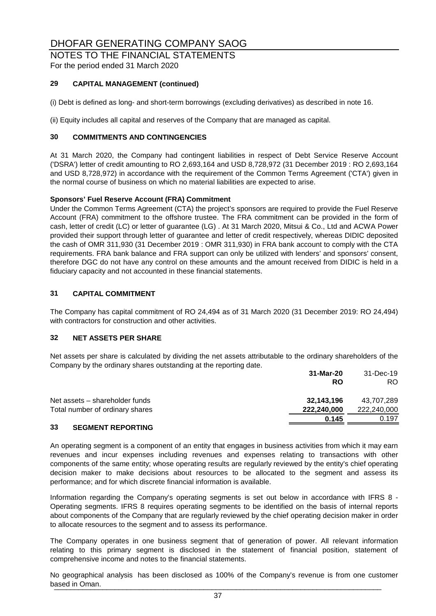# NOTES TO THE FINANCIAL STATEMENTS

For the period ended 31 March 2020

# **29 CAPITAL MANAGEMENT (continued)**

(i) Debt is defined as long- and short-term borrowings (excluding derivatives) as described in note 16.

(ii) Equity includes all capital and reserves of the Company that are managed as capital.

# **30 COMMITMENTS AND CONTINGENCIES**

At 31 March 2020, the Company had contingent liabilities in respect of Debt Service Reserve Account ('DSRA') letter of credit amounting to RO 2,693,164 and USD 8,728,972 (31 December 2019 : RO 2,693,164 and USD 8,728,972) in accordance with the requirement of the Common Terms Agreement ('CTA') given in the normal course of business on which no material liabilities are expected to arise.

# **Sponsors' Fuel Reserve Account (FRA) Commitment**

Under the Common Terms Agreement (CTA) the project's sponsors are required to provide the Fuel Reserve Account (FRA) commitment to the offshore trustee. The FRA commitment can be provided in the form of cash, letter of credit (LC) or letter of guarantee (LG) . At 31 March 2020, Mitsui & Co., Ltd and ACWA Power provided their support through letter of guarantee and letter of credit respectively, whereas DIDIC deposited the cash of OMR 311,930 (31 December 2019 : OMR 311,930) in FRA bank account to comply with the CTA requirements. FRA bank balance and FRA support can only be utilized with lenders' and sponsors' consent, therefore DGC do not have any control on these amounts and the amount received from DIDIC is held in a fiduciary capacity and not accounted in these financial statements.

# **31 CAPITAL COMMITMENT**

The Company has capital commitment of RO 24,494 as of 31 March 2020 (31 December 2019: RO 24,494) with contractors for construction and other activities.

# **32 NET ASSETS PER SHARE**

Net assets per share is calculated by dividing the net assets attributable to the ordinary shareholders of the Company by the ordinary shares outstanding at the reporting date.

|                                 | 31-Mar-20   | 31-Dec-19   |
|---------------------------------|-------------|-------------|
|                                 | <b>RO</b>   | RO.         |
| Net assets – shareholder funds  | 32,143,196  | 43.707.289  |
| Total number of ordinary shares | 222,240,000 | 222,240,000 |
|                                 | 0.145       | 0.197       |

# **33 SEGMENT REPORTING**

An operating segment is a component of an entity that engages in business activities from which it may earn revenues and incur expenses including revenues and expenses relating to transactions with other components of the same entity; whose operating results are regularly reviewed by the entity's chief operating decision maker to make decisions about resources to be allocated to the segment and assess its performance; and for which discrete financial information is available.

Information regarding the Company's operating segments is set out below in accordance with IFRS 8 - Operating segments. IFRS 8 requires operating segments to be identified on the basis of internal reports about components of the Company that are regularly reviewed by the chief operating decision maker in order to allocate resources to the segment and to assess its performance.

The Company operates in one business segment that of generation of power. All relevant information relating to this primary segment is disclosed in the statement of financial position, statement of comprehensive income and notes to the financial statements.

No geographical analysis has been disclosed as 100% of the Company's revenue is from one customer based in Oman. \_\_\_\_\_\_\_\_\_\_\_\_\_\_\_\_\_\_\_\_\_\_\_\_\_\_\_\_\_\_\_\_\_\_\_\_\_\_\_\_\_\_\_\_\_\_\_\_\_\_\_\_\_\_\_\_\_\_\_\_\_\_\_\_\_\_\_\_\_\_\_\_\_\_\_\_\_\_\_\_\_